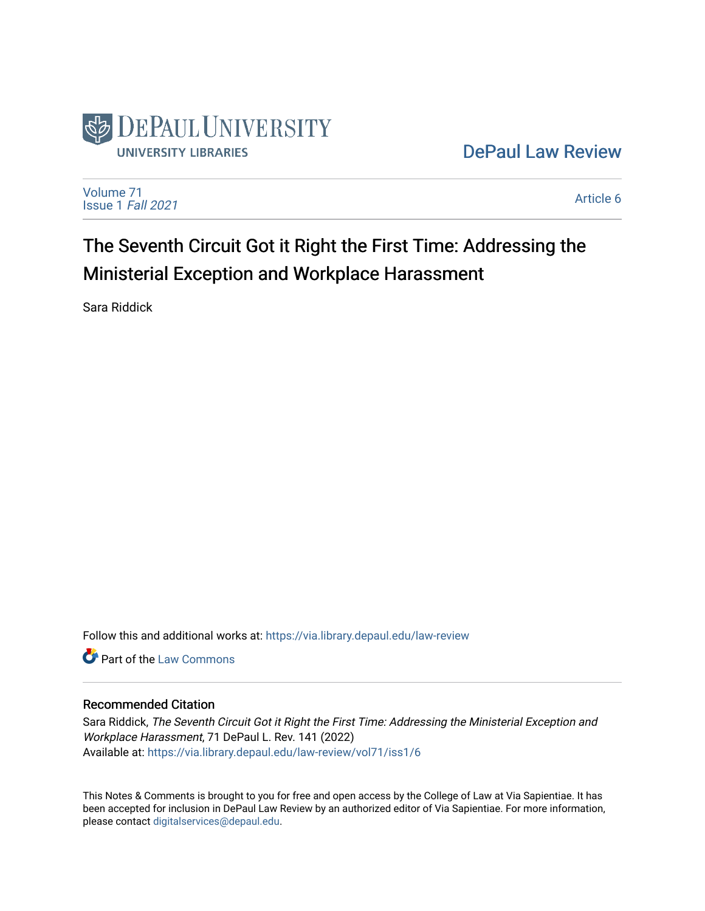

## [DePaul Law Review](https://via.library.depaul.edu/law-review)

[Volume 71](https://via.library.depaul.edu/law-review/vol71) [Issue 1](https://via.library.depaul.edu/law-review/vol71/iss1) Fall 2021

[Article 6](https://via.library.depaul.edu/law-review/vol71/iss1/6) 

# The Seventh Circuit Got it Right the First Time: Addressing the Ministerial Exception and Workplace Harassment

Sara Riddick

Follow this and additional works at: [https://via.library.depaul.edu/law-review](https://via.library.depaul.edu/law-review?utm_source=via.library.depaul.edu%2Flaw-review%2Fvol71%2Fiss1%2F6&utm_medium=PDF&utm_campaign=PDFCoverPages) 

Part of the [Law Commons](http://network.bepress.com/hgg/discipline/578?utm_source=via.library.depaul.edu%2Flaw-review%2Fvol71%2Fiss1%2F6&utm_medium=PDF&utm_campaign=PDFCoverPages)

## Recommended Citation

Sara Riddick, The Seventh Circuit Got it Right the First Time: Addressing the Ministerial Exception and Workplace Harassment, 71 DePaul L. Rev. 141 (2022) Available at: [https://via.library.depaul.edu/law-review/vol71/iss1/6](https://via.library.depaul.edu/law-review/vol71/iss1/6?utm_source=via.library.depaul.edu%2Flaw-review%2Fvol71%2Fiss1%2F6&utm_medium=PDF&utm_campaign=PDFCoverPages) 

This Notes & Comments is brought to you for free and open access by the College of Law at Via Sapientiae. It has been accepted for inclusion in DePaul Law Review by an authorized editor of Via Sapientiae. For more information, please contact [digitalservices@depaul.edu.](mailto:digitalservices@depaul.edu)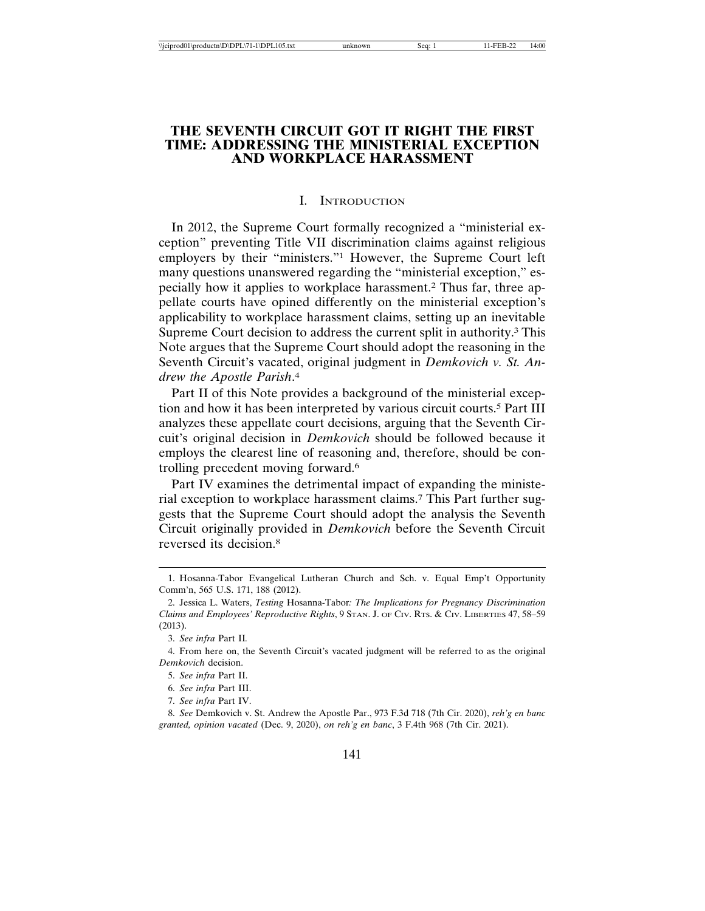## **THE SEVENTH CIRCUIT GOT IT RIGHT THE FIRST TIME: ADDRESSING THE MINISTERIAL EXCEPTION AND WORKPLACE HARASSMENT**

#### I. INTRODUCTION

In 2012, the Supreme Court formally recognized a "ministerial exception" preventing Title VII discrimination claims against religious employers by their "ministers."1 However, the Supreme Court left many questions unanswered regarding the "ministerial exception," especially how it applies to workplace harassment.2 Thus far, three appellate courts have opined differently on the ministerial exception's applicability to workplace harassment claims, setting up an inevitable Supreme Court decision to address the current split in authority.<sup>3</sup> This Note argues that the Supreme Court should adopt the reasoning in the Seventh Circuit's vacated, original judgment in *Demkovich v. St. Andrew the Apostle Parish*. 4

Part II of this Note provides a background of the ministerial exception and how it has been interpreted by various circuit courts.5 Part III analyzes these appellate court decisions, arguing that the Seventh Circuit's original decision in *Demkovich* should be followed because it employs the clearest line of reasoning and, therefore, should be controlling precedent moving forward.6

Part IV examines the detrimental impact of expanding the ministerial exception to workplace harassment claims.7 This Part further suggests that the Supreme Court should adopt the analysis the Seventh Circuit originally provided in *Demkovich* before the Seventh Circuit reversed its decision.8

7. *See infra* Part IV.

8. *See* Demkovich v. St. Andrew the Apostle Par., 973 F.3d 718 (7th Cir. 2020), *reh'g en banc granted, opinion vacated* (Dec. 9, 2020), *on reh'g en banc*, 3 F.4th 968 (7th Cir. 2021).

<sup>1.</sup> Hosanna-Tabor Evangelical Lutheran Church and Sch. v. Equal Emp't Opportunity Comm'n, 565 U.S. 171, 188 (2012).

<sup>2.</sup> Jessica L. Waters, *Testing* Hosanna-Tabor*: The Implications for Pregnancy Discrimination Claims and Employees' Reproductive Rights*, 9 STAN. J. OF CIV. RTS. & CIV. LIBERTIES 47, 58–59 (2013).

<sup>3.</sup> *See infra* Part II*.*

<sup>4.</sup> From here on, the Seventh Circuit's vacated judgment will be referred to as the original *Demkovich* decision.

<sup>5.</sup> *See infra* Part II.

<sup>6.</sup> *See infra* Part III.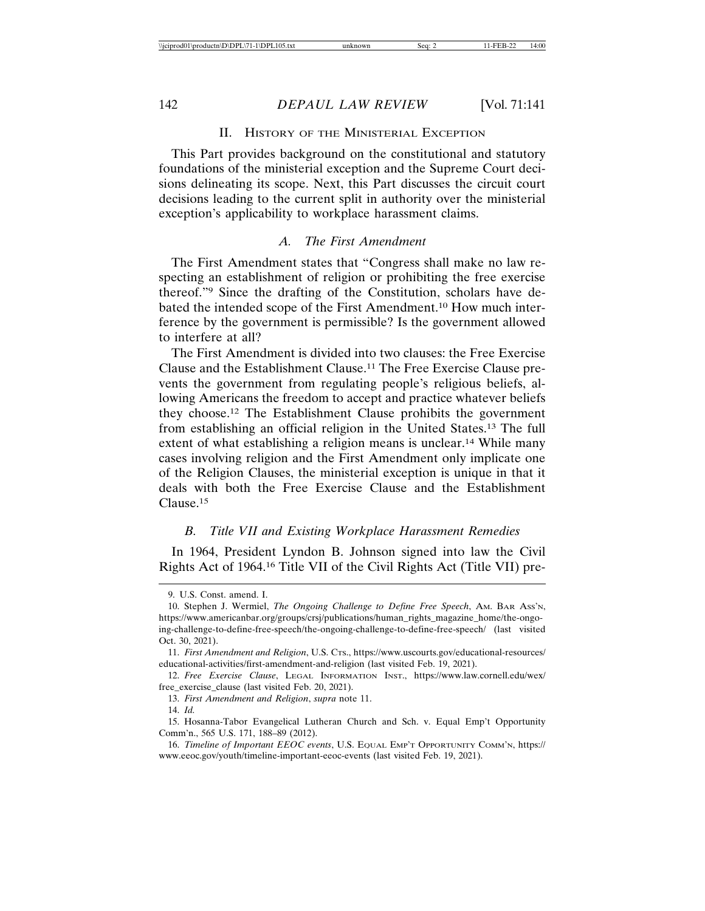## II. HISTORY OF THE MINISTERIAL EXCEPTION

This Part provides background on the constitutional and statutory foundations of the ministerial exception and the Supreme Court decisions delineating its scope. Next, this Part discusses the circuit court decisions leading to the current split in authority over the ministerial exception's applicability to workplace harassment claims.

## *A. The First Amendment*

The First Amendment states that "Congress shall make no law respecting an establishment of religion or prohibiting the free exercise thereof."9 Since the drafting of the Constitution, scholars have debated the intended scope of the First Amendment.10 How much interference by the government is permissible? Is the government allowed to interfere at all?

The First Amendment is divided into two clauses: the Free Exercise Clause and the Establishment Clause.11 The Free Exercise Clause prevents the government from regulating people's religious beliefs, allowing Americans the freedom to accept and practice whatever beliefs they choose.12 The Establishment Clause prohibits the government from establishing an official religion in the United States.13 The full extent of what establishing a religion means is unclear.<sup>14</sup> While many cases involving religion and the First Amendment only implicate one of the Religion Clauses, the ministerial exception is unique in that it deals with both the Free Exercise Clause and the Establishment Clause.15

## *B. Title VII and Existing Workplace Harassment Remedies*

In 1964, President Lyndon B. Johnson signed into law the Civil Rights Act of 1964.16 Title VII of the Civil Rights Act (Title VII) pre-

<sup>9.</sup> U.S. Const. amend. I.

<sup>10.</sup> Stephen J. Wermiel, *The Ongoing Challenge to Define Free Speech*, AM. BAR ASS'N, https://www.americanbar.org/groups/crsj/publications/human\_rights\_magazine\_home/the-ongoing-challenge-to-define-free-speech/the-ongoing-challenge-to-define-free-speech/ (last visited Oct. 30, 2021).

<sup>11.</sup> *First Amendment and Religion*, U.S. CTS., https://www.uscourts.gov/educational-resources/ educational-activities/first-amendment-and-religion (last visited Feb. 19, 2021).

<sup>12.</sup> *Free Exercise Clause*, LEGAL INFORMATION INST., https://www.law.cornell.edu/wex/ free\_exercise\_clause (last visited Feb. 20, 2021).

<sup>13.</sup> *First Amendment and Religion*, *supra* note 11.

<sup>14.</sup> *Id.*

<sup>15.</sup> Hosanna-Tabor Evangelical Lutheran Church and Sch. v. Equal Emp't Opportunity Comm'n., 565 U.S. 171, 188–89 (2012).

<sup>16.</sup> *Timeline of Important EEOC events*, U.S. EQUAL EMP'T OPPORTUNITY COMM'N, https:// www.eeoc.gov/youth/timeline-important-eeoc-events (last visited Feb. 19, 2021).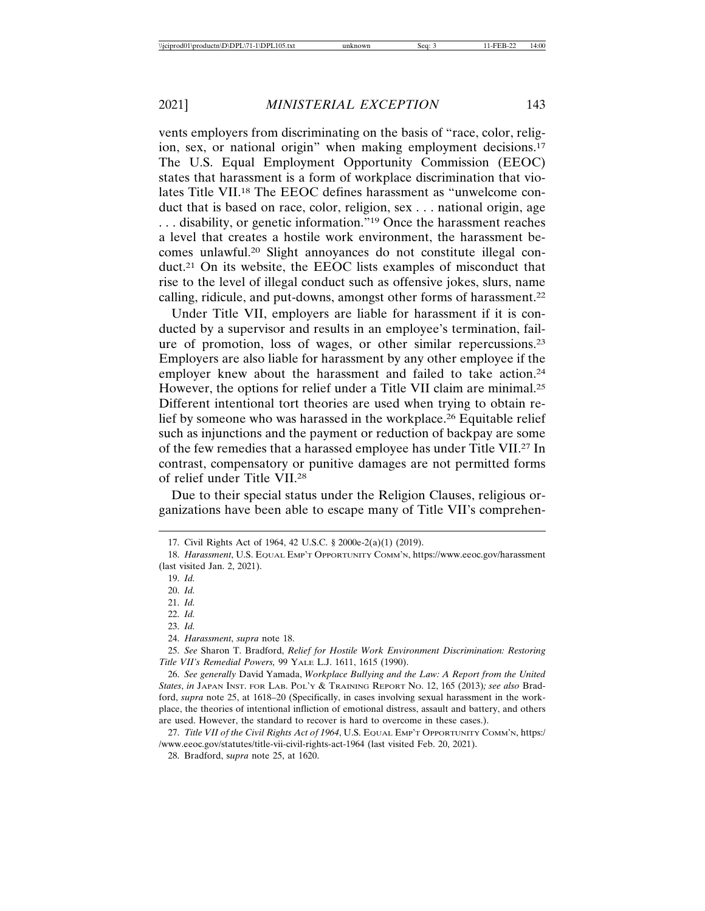vents employers from discriminating on the basis of "race, color, religion, sex, or national origin" when making employment decisions.17 The U.S. Equal Employment Opportunity Commission (EEOC) states that harassment is a form of workplace discrimination that violates Title VII.18 The EEOC defines harassment as "unwelcome conduct that is based on race, color, religion, sex . . . national origin, age . . . disability, or genetic information."19 Once the harassment reaches a level that creates a hostile work environment, the harassment becomes unlawful.20 Slight annoyances do not constitute illegal conduct.21 On its website, the EEOC lists examples of misconduct that rise to the level of illegal conduct such as offensive jokes, slurs, name calling, ridicule, and put-downs, amongst other forms of harassment.22

Under Title VII, employers are liable for harassment if it is conducted by a supervisor and results in an employee's termination, failure of promotion, loss of wages, or other similar repercussions.23 Employers are also liable for harassment by any other employee if the employer knew about the harassment and failed to take action.<sup>24</sup> However, the options for relief under a Title VII claim are minimal.25 Different intentional tort theories are used when trying to obtain relief by someone who was harassed in the workplace.26 Equitable relief such as injunctions and the payment or reduction of backpay are some of the few remedies that a harassed employee has under Title VII.27 In contrast, compensatory or punitive damages are not permitted forms of relief under Title VII.28

Due to their special status under the Religion Clauses, religious organizations have been able to escape many of Title VII's comprehen-

<sup>17.</sup> Civil Rights Act of 1964, 42 U.S.C. § 2000e-2(a)(1) (2019).

<sup>18.</sup> *Harassment*, U.S. EQUAL EMP'T OPPORTUNITY COMM'N, https://www.eeoc.gov/harassment (last visited Jan. 2, 2021).

<sup>19.</sup> *Id.*

<sup>20.</sup> *Id.*

<sup>21.</sup> *Id.*

<sup>22.</sup> *Id.*

<sup>23.</sup> *Id.*

<sup>24.</sup> *Harassment*, *supra* note 18.

<sup>25.</sup> *See* Sharon T. Bradford, *Relief for Hostile Work Environment Discrimination: Restoring Title VII's Remedial Powers,* 99 YALE L.J. 1611, 1615 (1990).

<sup>26.</sup> *See generally* David Yamada, *Workplace Bullying and the Law: A Report from the United States*, *in* JAPAN INST. FOR LAB. POL'Y & TRAINING REPORT NO. 12, 165 (2013)*; see also* Bradford, *supra* note 25, at 1618–20 (Specifically, in cases involving sexual harassment in the workplace, the theories of intentional infliction of emotional distress, assault and battery, and others are used. However, the standard to recover is hard to overcome in these cases.).

<sup>27.</sup> *Title VII of the Civil Rights Act of 1964*, U.S. EQUAL EMP'T OPPORTUNITY COMM'N, https:/ /www.eeoc.gov/statutes/title-vii-civil-rights-act-1964 (last visited Feb. 20, 2021).

<sup>28.</sup> Bradford, s*upra* note 25, at 1620.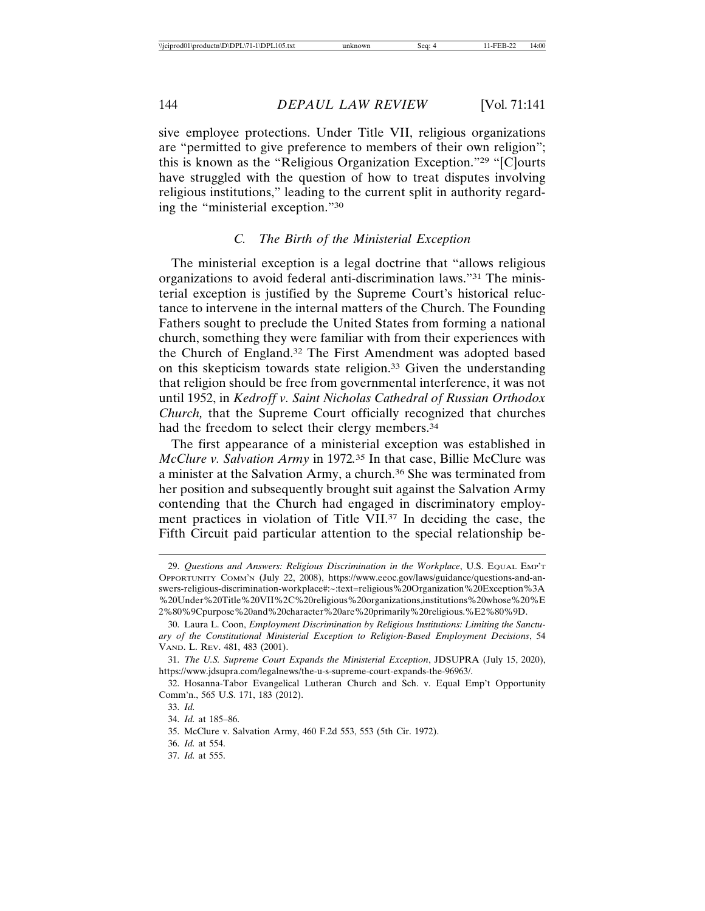sive employee protections. Under Title VII, religious organizations are "permitted to give preference to members of their own religion"; this is known as the "Religious Organization Exception."29 "[C]ourts have struggled with the question of how to treat disputes involving religious institutions," leading to the current split in authority regarding the "ministerial exception."30

## *C. The Birth of the Ministerial Exception*

The ministerial exception is a legal doctrine that "allows religious organizations to avoid federal anti-discrimination laws."31 The ministerial exception is justified by the Supreme Court's historical reluctance to intervene in the internal matters of the Church. The Founding Fathers sought to preclude the United States from forming a national church, something they were familiar with from their experiences with the Church of England.32 The First Amendment was adopted based on this skepticism towards state religion.33 Given the understanding that religion should be free from governmental interference, it was not until 1952, in *Kedroff v. Saint Nicholas Cathedral of Russian Orthodox Church,* that the Supreme Court officially recognized that churches had the freedom to select their clergy members.<sup>34</sup>

The first appearance of a ministerial exception was established in *McClure v. Salvation Army* in 1972*.* 35 In that case, Billie McClure was a minister at the Salvation Army, a church.36 She was terminated from her position and subsequently brought suit against the Salvation Army contending that the Church had engaged in discriminatory employment practices in violation of Title VII.37 In deciding the case, the Fifth Circuit paid particular attention to the special relationship be-

37. *Id.* at 555.

<sup>29.</sup> *Questions and Answers: Religious Discrimination in the Workplace*, U.S. EQUAL EMP'T OPPORTUNITY COMM'N (July 22, 2008), https://www.eeoc.gov/laws/guidance/questions-and-answers-religious-discrimination-workplace#:~:text=religious%20Organization%20Exception%3A %20Under%20Title%20VII%2C%20religious%20organizations,institutions%20whose%20%E 2%80%9Cpurpose%20and%20character%20are%20primarily%20religious.%E2%80%9D.

<sup>30.</sup> Laura L. Coon, *Employment Discrimination by Religious Institutions: Limiting the Sanctuary of the Constitutional Ministerial Exception to Religion-Based Employment Decisions*, 54 VAND. L. REV. 481, 483 (2001).

<sup>31.</sup> *The U.S. Supreme Court Expands the Ministerial Exception*, JDSUPRA (July 15, 2020), https://www.jdsupra.com/legalnews/the-u-s-supreme-court-expands-the-96963/.

<sup>32.</sup> Hosanna-Tabor Evangelical Lutheran Church and Sch. v. Equal Emp't Opportunity Comm'n., 565 U.S. 171, 183 (2012).

<sup>33.</sup> *Id.*

<sup>34.</sup> *Id.* at 185–86.

<sup>35.</sup> McClure v. Salvation Army, 460 F.2d 553, 553 (5th Cir. 1972).

<sup>36.</sup> *Id.* at 554.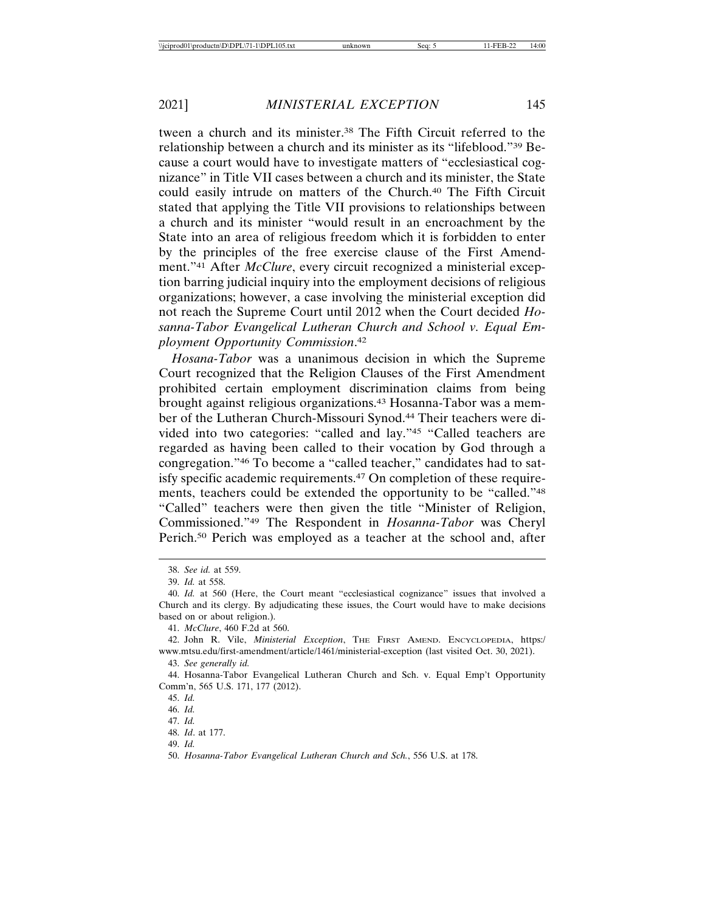tween a church and its minister.38 The Fifth Circuit referred to the relationship between a church and its minister as its "lifeblood."39 Because a court would have to investigate matters of "ecclesiastical cognizance" in Title VII cases between a church and its minister, the State could easily intrude on matters of the Church.40 The Fifth Circuit stated that applying the Title VII provisions to relationships between a church and its minister "would result in an encroachment by the State into an area of religious freedom which it is forbidden to enter by the principles of the free exercise clause of the First Amendment."41 After *McClure*, every circuit recognized a ministerial exception barring judicial inquiry into the employment decisions of religious organizations; however, a case involving the ministerial exception did not reach the Supreme Court until 2012 when the Court decided *Hosanna-Tabor Evangelical Lutheran Church and School v. Equal Employment Opportunity Commission*. 42

*Hosana-Tabor* was a unanimous decision in which the Supreme Court recognized that the Religion Clauses of the First Amendment prohibited certain employment discrimination claims from being brought against religious organizations.43 Hosanna-Tabor was a member of the Lutheran Church-Missouri Synod.44 Their teachers were divided into two categories: "called and lay."45 "Called teachers are regarded as having been called to their vocation by God through a congregation."46 To become a "called teacher," candidates had to satisfy specific academic requirements.47 On completion of these requirements, teachers could be extended the opportunity to be "called."48 "Called" teachers were then given the title "Minister of Religion, Commissioned."49 The Respondent in *Hosanna-Tabor* was Cheryl Perich.50 Perich was employed as a teacher at the school and, after

<sup>38.</sup> *See id.* at 559.

<sup>39.</sup> *Id.* at 558.

<sup>40.</sup> *Id.* at 560 (Here, the Court meant "ecclesiastical cognizance" issues that involved a Church and its clergy. By adjudicating these issues, the Court would have to make decisions based on or about religion.).

<sup>41.</sup> *McClure*, 460 F.2d at 560.

<sup>42.</sup> John R. Vile, *Ministerial Exception*, THE FIRST AMEND. ENCYCLOPEDIA, https:/ www.mtsu.edu/first-amendment/article/1461/ministerial-exception (last visited Oct. 30, 2021). 43. *See generally id.*

<sup>44.</sup> Hosanna-Tabor Evangelical Lutheran Church and Sch. v. Equal Emp't Opportunity Comm'n, 565 U.S. 171, 177 (2012).

<sup>45.</sup> *Id.*

<sup>46.</sup> *Id.*

<sup>47.</sup> *Id.*

<sup>48.</sup> *Id*. at 177.

<sup>49.</sup> *Id.*

<sup>50.</sup> *Hosanna-Tabor Evangelical Lutheran Church and Sch.*, 556 U.S. at 178.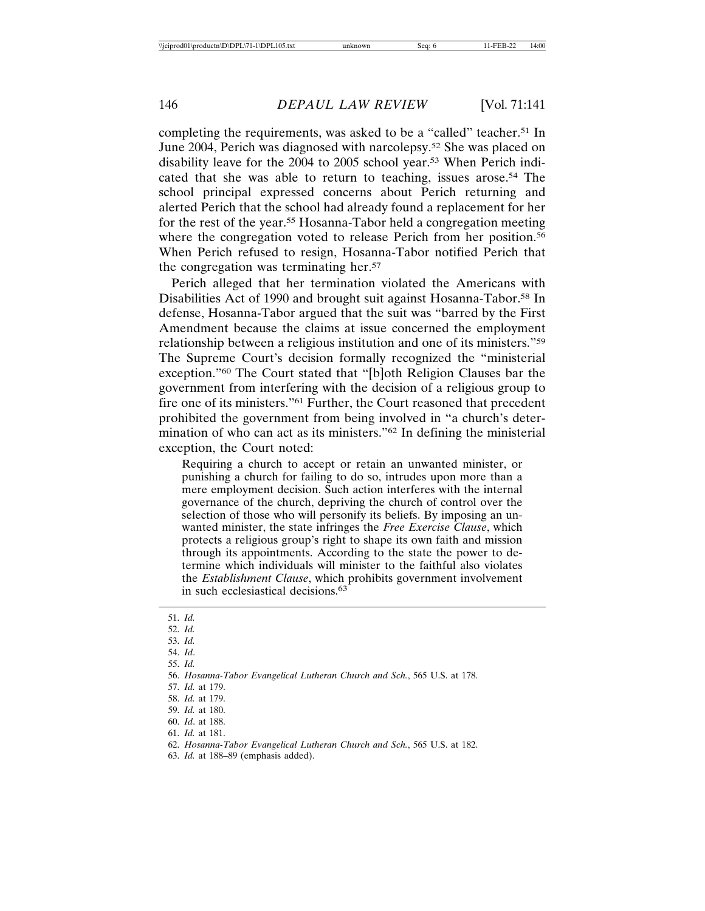completing the requirements, was asked to be a "called" teacher.<sup>51</sup> In June 2004, Perich was diagnosed with narcolepsy.52 She was placed on disability leave for the 2004 to 2005 school year.53 When Perich indicated that she was able to return to teaching, issues arose.54 The school principal expressed concerns about Perich returning and alerted Perich that the school had already found a replacement for her for the rest of the year.55 Hosanna-Tabor held a congregation meeting where the congregation voted to release Perich from her position.<sup>56</sup> When Perich refused to resign, Hosanna-Tabor notified Perich that the congregation was terminating her.57

Perich alleged that her termination violated the Americans with Disabilities Act of 1990 and brought suit against Hosanna-Tabor.<sup>58</sup> In defense, Hosanna-Tabor argued that the suit was "barred by the First Amendment because the claims at issue concerned the employment relationship between a religious institution and one of its ministers."59 The Supreme Court's decision formally recognized the "ministerial exception."60 The Court stated that "[b]oth Religion Clauses bar the government from interfering with the decision of a religious group to fire one of its ministers."61 Further, the Court reasoned that precedent prohibited the government from being involved in "a church's determination of who can act as its ministers."62 In defining the ministerial exception, the Court noted:

Requiring a church to accept or retain an unwanted minister, or punishing a church for failing to do so, intrudes upon more than a mere employment decision. Such action interferes with the internal governance of the church, depriving the church of control over the selection of those who will personify its beliefs. By imposing an unwanted minister, the state infringes the *Free Exercise Clause*, which protects a religious group's right to shape its own faith and mission through its appointments. According to the state the power to determine which individuals will minister to the faithful also violates the *Establishment Clause*, which prohibits government involvement in such ecclesiastical decisions.63

- 52. *Id.*
- 53. *Id.*
- 54. *Id*.
- 55. *Id.*

- 57. *Id.* at 179.
- 58. *Id.* at 179.

61. *Id.* at 181.

63. *Id.* at 188–89 (emphasis added).

<sup>51.</sup> *Id.*

<sup>56.</sup> *Hosanna-Tabor Evangelical Lutheran Church and Sch.*, 565 U.S. at 178.

<sup>59.</sup> *Id.* at 180.

<sup>60.</sup> *Id*. at 188.

<sup>62.</sup> *Hosanna-Tabor Evangelical Lutheran Church and Sch.*, 565 U.S. at 182.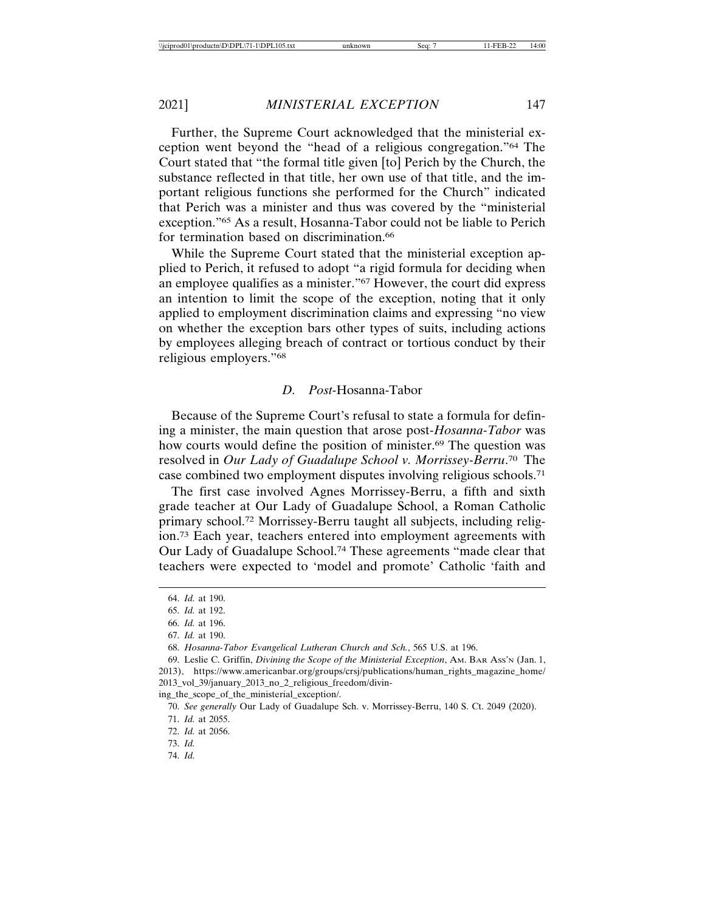Further, the Supreme Court acknowledged that the ministerial exception went beyond the "head of a religious congregation."64 The Court stated that "the formal title given [to] Perich by the Church, the substance reflected in that title, her own use of that title, and the important religious functions she performed for the Church" indicated that Perich was a minister and thus was covered by the "ministerial exception."65 As a result, Hosanna-Tabor could not be liable to Perich for termination based on discrimination.<sup>66</sup>

While the Supreme Court stated that the ministerial exception applied to Perich, it refused to adopt "a rigid formula for deciding when an employee qualifies as a minister."67 However, the court did express an intention to limit the scope of the exception, noting that it only applied to employment discrimination claims and expressing "no view on whether the exception bars other types of suits, including actions by employees alleging breach of contract or tortious conduct by their religious employers."68

#### *D. Post-*Hosanna-Tabor

Because of the Supreme Court's refusal to state a formula for defining a minister, the main question that arose post-*Hosanna-Tabor* was how courts would define the position of minister.<sup>69</sup> The question was resolved in *Our Lady of Guadalupe School v. Morrissey-Berru*. 70 The case combined two employment disputes involving religious schools.71

The first case involved Agnes Morrissey-Berru, a fifth and sixth grade teacher at Our Lady of Guadalupe School, a Roman Catholic primary school.72 Morrissey-Berru taught all subjects, including religion.73 Each year, teachers entered into employment agreements with Our Lady of Guadalupe School.74 These agreements "made clear that teachers were expected to 'model and promote' Catholic 'faith and

<sup>64.</sup> *Id.* at 190.

<sup>65.</sup> *Id.* at 192.

<sup>66.</sup> *Id.* at 196.

<sup>67.</sup> *Id.* at 190.

<sup>68.</sup> *Hosanna-Tabor Evangelical Lutheran Church and Sch.*, 565 U.S. at 196.

<sup>69.</sup> Leslie C. Griffin, *Divining the Scope of the Ministerial Exception*, AM. BAR ASS'N (Jan. 1, 2013), https://www.americanbar.org/groups/crsj/publications/human\_rights\_magazine\_home/ 2013\_vol\_39/january\_2013\_no\_2\_religious\_freedom/divin-

ing\_the\_scope\_of\_the\_ministerial\_exception/.

<sup>70.</sup> *See generally* Our Lady of Guadalupe Sch. v. Morrissey-Berru, 140 S. Ct. 2049 (2020). 71. *Id.* at 2055.

<sup>72.</sup> *Id.* at 2056.

<sup>73.</sup> *Id.*

<sup>74.</sup> *Id.*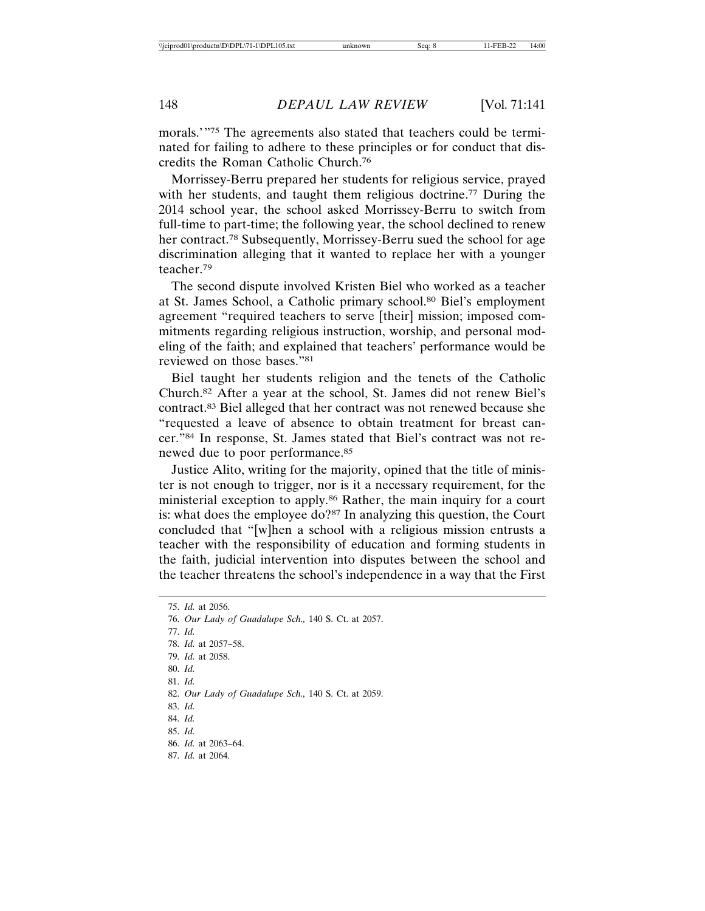morals.'"75 The agreements also stated that teachers could be terminated for failing to adhere to these principles or for conduct that discredits the Roman Catholic Church.76

Morrissey-Berru prepared her students for religious service, prayed with her students, and taught them religious doctrine.<sup>77</sup> During the 2014 school year, the school asked Morrissey-Berru to switch from full-time to part-time; the following year, the school declined to renew her contract.78 Subsequently, Morrissey-Berru sued the school for age discrimination alleging that it wanted to replace her with a younger teacher.79

The second dispute involved Kristen Biel who worked as a teacher at St. James School, a Catholic primary school.80 Biel's employment agreement "required teachers to serve [their] mission; imposed commitments regarding religious instruction, worship, and personal modeling of the faith; and explained that teachers' performance would be reviewed on those bases."81

Biel taught her students religion and the tenets of the Catholic Church.82 After a year at the school, St. James did not renew Biel's contract.83 Biel alleged that her contract was not renewed because she "requested a leave of absence to obtain treatment for breast cancer."84 In response, St. James stated that Biel's contract was not renewed due to poor performance.85

Justice Alito, writing for the majority, opined that the title of minister is not enough to trigger, nor is it a necessary requirement, for the ministerial exception to apply.86 Rather, the main inquiry for a court is: what does the employee do?87 In analyzing this question, the Court concluded that "[w]hen a school with a religious mission entrusts a teacher with the responsibility of education and forming students in the faith, judicial intervention into disputes between the school and the teacher threatens the school's independence in a way that the First

75. *Id.* at 2056. 76. *Our Lady of Guadalupe Sch.,* 140 S. Ct. at 2057. 77. *Id.* 78. *Id.* at 2057–58. 79. *Id.* at 2058. 80. *Id.* 81. *Id.* 82. *Our Lady of Guadalupe Sch.,* 140 S. Ct. at 2059. 83. *Id.* 84. *Id.* 85. *Id.* 86. *Id.* at 2063–64. 87. *Id.* at 2064.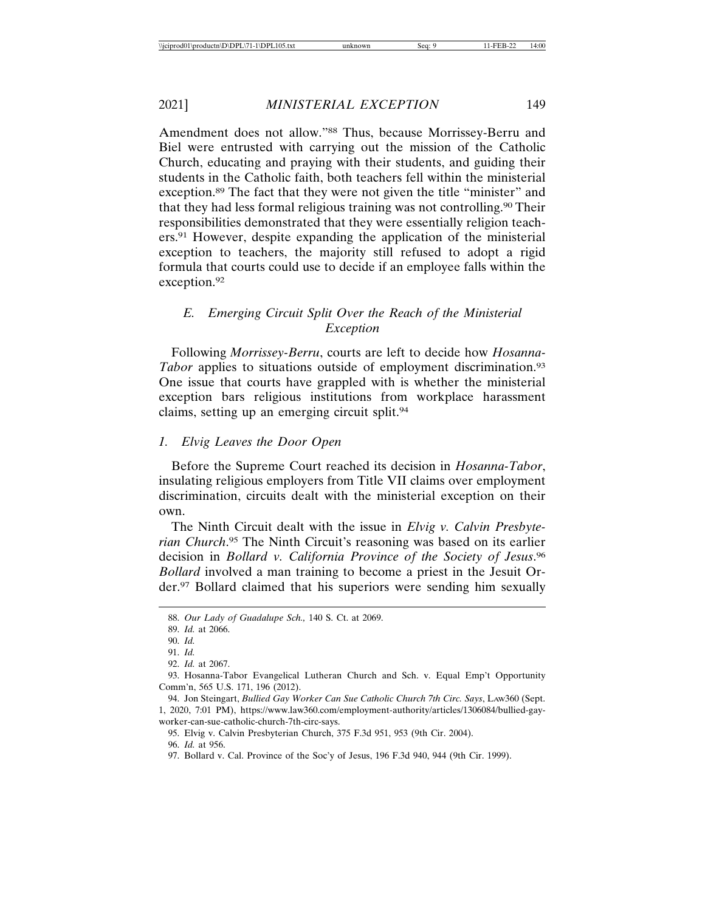Amendment does not allow."88 Thus, because Morrissey-Berru and Biel were entrusted with carrying out the mission of the Catholic Church, educating and praying with their students, and guiding their students in the Catholic faith, both teachers fell within the ministerial exception.89 The fact that they were not given the title "minister" and that they had less formal religious training was not controlling.90 Their responsibilities demonstrated that they were essentially religion teachers.91 However, despite expanding the application of the ministerial exception to teachers, the majority still refused to adopt a rigid formula that courts could use to decide if an employee falls within the exception.92

## *E. Emerging Circuit Split Over the Reach of the Ministerial Exception*

Following *Morrissey-Berru*, courts are left to decide how *Hosanna-Tabor* applies to situations outside of employment discrimination.<sup>93</sup> One issue that courts have grappled with is whether the ministerial exception bars religious institutions from workplace harassment claims, setting up an emerging circuit split.94

## *1. Elvig Leaves the Door Open*

Before the Supreme Court reached its decision in *Hosanna-Tabor*, insulating religious employers from Title VII claims over employment discrimination, circuits dealt with the ministerial exception on their own.

The Ninth Circuit dealt with the issue in *Elvig v. Calvin Presbyterian Church*. 95 The Ninth Circuit's reasoning was based on its earlier decision in *Bollard v. California Province of the Society of Jesus*. 96 *Bollard* involved a man training to become a priest in the Jesuit Order.97 Bollard claimed that his superiors were sending him sexually

<sup>88.</sup> *Our Lady of Guadalupe Sch.,* 140 S. Ct. at 2069.

<sup>89.</sup> *Id.* at 2066.

<sup>90.</sup> *Id.*

<sup>91.</sup> *Id.*

<sup>92.</sup> *Id.* at 2067.

<sup>93.</sup> Hosanna-Tabor Evangelical Lutheran Church and Sch. v. Equal Emp't Opportunity Comm'n, 565 U.S. 171, 196 (2012).

<sup>94.</sup> Jon Steingart, *Bullied Gay Worker Can Sue Catholic Church 7th Circ. Says*, LAw360 (Sept. 1, 2020, 7:01 PM), https://www.law360.com/employment-authority/articles/1306084/bullied-gayworker-can-sue-catholic-church-7th-circ-says.

<sup>95.</sup> Elvig v. Calvin Presbyterian Church, 375 F.3d 951, 953 (9th Cir. 2004).

<sup>96.</sup> *Id.* at 956.

<sup>97.</sup> Bollard v. Cal. Province of the Soc'y of Jesus, 196 F.3d 940, 944 (9th Cir. 1999).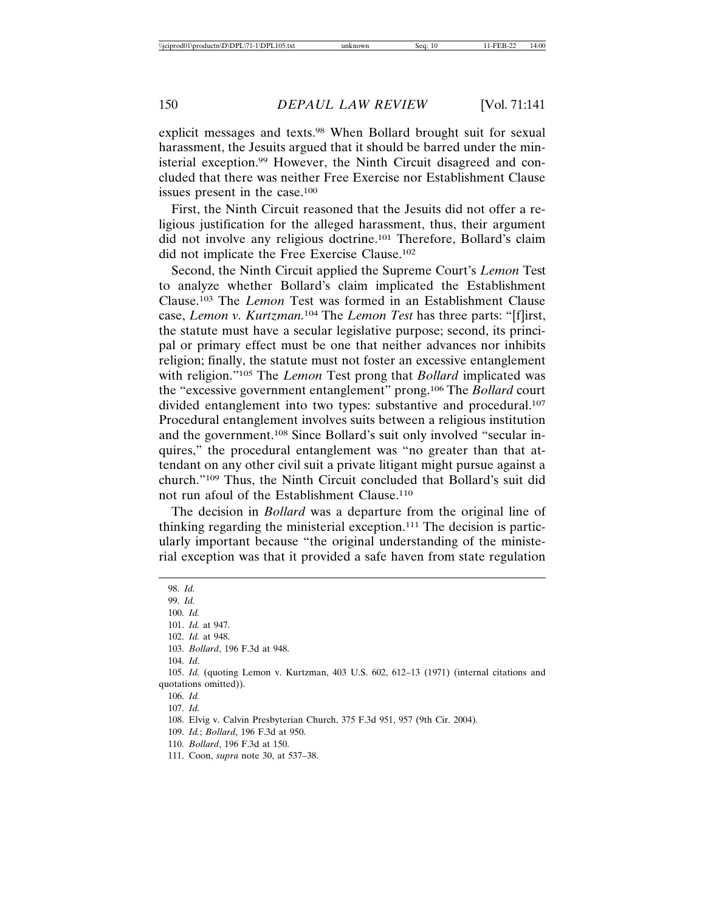explicit messages and texts.98 When Bollard brought suit for sexual harassment, the Jesuits argued that it should be barred under the ministerial exception.99 However, the Ninth Circuit disagreed and concluded that there was neither Free Exercise nor Establishment Clause issues present in the case.100

First, the Ninth Circuit reasoned that the Jesuits did not offer a religious justification for the alleged harassment, thus, their argument did not involve any religious doctrine.101 Therefore, Bollard's claim did not implicate the Free Exercise Clause.102

Second, the Ninth Circuit applied the Supreme Court's *Lemon* Test to analyze whether Bollard's claim implicated the Establishment Clause.103 The *Lemon* Test was formed in an Establishment Clause case, *Lemon v. Kurtzman.*104 The *Lemon Test* has three parts: "[f]irst, the statute must have a secular legislative purpose; second, its principal or primary effect must be one that neither advances nor inhibits religion; finally, the statute must not foster an excessive entanglement with religion."105 The *Lemon* Test prong that *Bollard* implicated was the "excessive government entanglement" prong.106 The *Bollard* court divided entanglement into two types: substantive and procedural.107 Procedural entanglement involves suits between a religious institution and the government.108 Since Bollard's suit only involved "secular inquires," the procedural entanglement was "no greater than that attendant on any other civil suit a private litigant might pursue against a church."109 Thus, the Ninth Circuit concluded that Bollard's suit did not run afoul of the Establishment Clause.110

The decision in *Bollard* was a departure from the original line of thinking regarding the ministerial exception.111 The decision is particularly important because "the original understanding of the ministerial exception was that it provided a safe haven from state regulation

98. *Id.* 99. *Id.* 100. *Id.* 101. *Id.* at 947. 102. *Id.* at 948. 103. *Bollard*, 196 F.3d at 948. 104. *Id*. 105. *Id.* (quoting Lemon v. Kurtzman, 403 U.S. 602, 612–13 (1971) (internal citations and quotations omitted)). 106. *Id.* 107. *Id.* 108. Elvig v. Calvin Presbyterian Church, 375 F.3d 951, 957 (9th Cir. 2004). 109. *Id.*; *Bollard*, 196 F.3d at 950. 110. *Bollard*, 196 F.3d at 150.

111. Coon, *supra* note 30, at 537–38.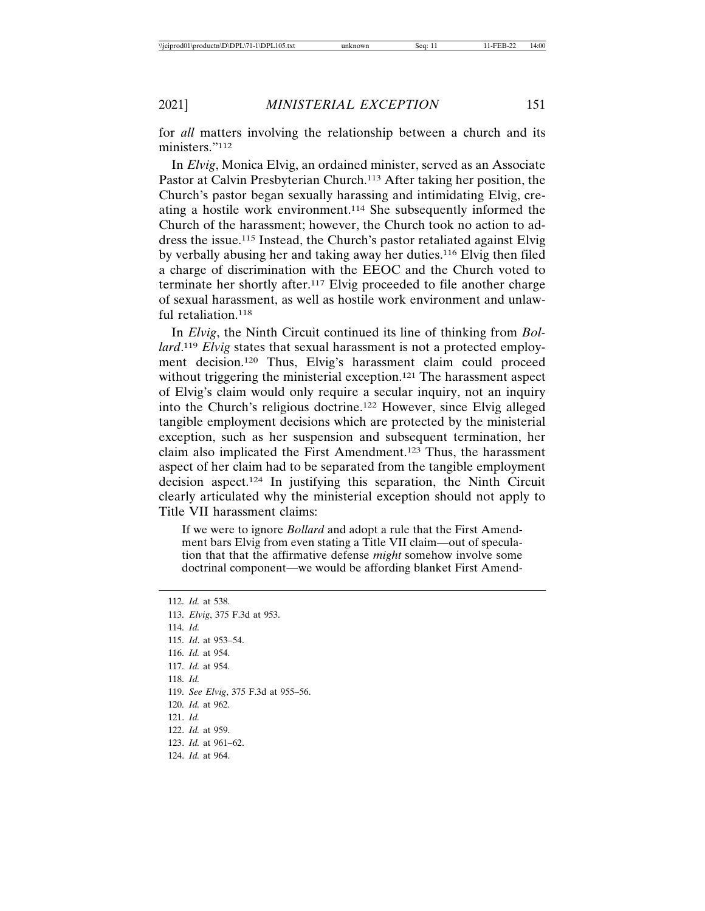for *all* matters involving the relationship between a church and its ministers."112

In *Elvig*, Monica Elvig, an ordained minister, served as an Associate Pastor at Calvin Presbyterian Church.<sup>113</sup> After taking her position, the Church's pastor began sexually harassing and intimidating Elvig, creating a hostile work environment.114 She subsequently informed the Church of the harassment; however, the Church took no action to address the issue.115 Instead, the Church's pastor retaliated against Elvig by verbally abusing her and taking away her duties.116 Elvig then filed a charge of discrimination with the EEOC and the Church voted to terminate her shortly after.117 Elvig proceeded to file another charge of sexual harassment, as well as hostile work environment and unlawful retaliation.118

In *Elvig*, the Ninth Circuit continued its line of thinking from *Bollard*. <sup>119</sup> *Elvig* states that sexual harassment is not a protected employment decision.120 Thus, Elvig's harassment claim could proceed without triggering the ministerial exception.<sup>121</sup> The harassment aspect of Elvig's claim would only require a secular inquiry, not an inquiry into the Church's religious doctrine.122 However, since Elvig alleged tangible employment decisions which are protected by the ministerial exception, such as her suspension and subsequent termination, her claim also implicated the First Amendment.123 Thus, the harassment aspect of her claim had to be separated from the tangible employment decision aspect.124 In justifying this separation, the Ninth Circuit clearly articulated why the ministerial exception should not apply to Title VII harassment claims:

If we were to ignore *Bollard* and adopt a rule that the First Amendment bars Elvig from even stating a Title VII claim—out of speculation that that the affirmative defense *might* somehow involve some doctrinal component—we would be affording blanket First Amend-

112. *Id.* at 538. 113. *Elvig*, 375 F.3d at 953. 114. *Id.* 115. *Id*. at 953–54. 116. *Id.* at 954. 117. *Id.* at 954. 118. *Id.* 119. *See Elvig*, 375 F.3d at 955–56. 120. *Id.* at 962. 121. *Id.* 122. *Id.* at 959. 123. *Id.* at 961–62. 124. *Id.* at 964.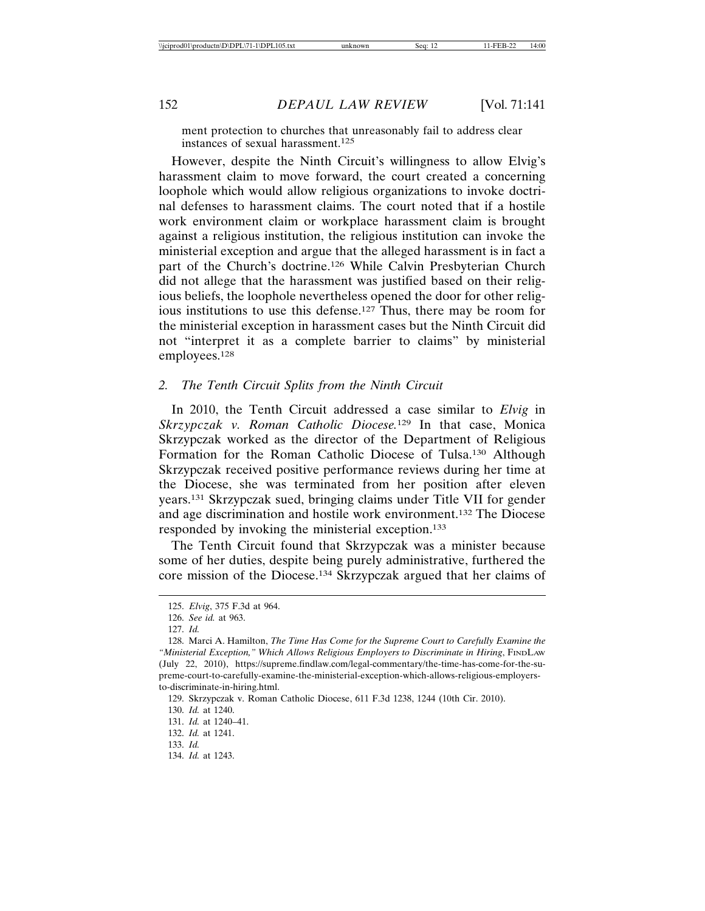ment protection to churches that unreasonably fail to address clear instances of sexual harassment.125

However, despite the Ninth Circuit's willingness to allow Elvig's harassment claim to move forward, the court created a concerning loophole which would allow religious organizations to invoke doctrinal defenses to harassment claims. The court noted that if a hostile work environment claim or workplace harassment claim is brought against a religious institution, the religious institution can invoke the ministerial exception and argue that the alleged harassment is in fact a part of the Church's doctrine.126 While Calvin Presbyterian Church did not allege that the harassment was justified based on their religious beliefs, the loophole nevertheless opened the door for other religious institutions to use this defense.127 Thus, there may be room for the ministerial exception in harassment cases but the Ninth Circuit did not "interpret it as a complete barrier to claims" by ministerial employees.128

## *2. The Tenth Circuit Splits from the Ninth Circuit*

In 2010, the Tenth Circuit addressed a case similar to *Elvig* in *Skrzypczak v. Roman Catholic Diocese.*129 In that case, Monica Skrzypczak worked as the director of the Department of Religious Formation for the Roman Catholic Diocese of Tulsa.130 Although Skrzypczak received positive performance reviews during her time at the Diocese, she was terminated from her position after eleven years.131 Skrzypczak sued, bringing claims under Title VII for gender and age discrimination and hostile work environment.132 The Diocese responded by invoking the ministerial exception.133

The Tenth Circuit found that Skrzypczak was a minister because some of her duties, despite being purely administrative, furthered the core mission of the Diocese.134 Skrzypczak argued that her claims of

<sup>125.</sup> *Elvig*, 375 F.3d at 964.

<sup>126.</sup> *See id.* at 963.

<sup>127.</sup> *Id.*

<sup>128.</sup> Marci A. Hamilton, *The Time Has Come for the Supreme Court to Carefully Examine the "Ministerial Exception," Which Allows Religious Employers to Discriminate in Hiring*, FINDLAW (July 22, 2010), https://supreme.findlaw.com/legal-commentary/the-time-has-come-for-the-supreme-court-to-carefully-examine-the-ministerial-exception-which-allows-religious-employersto-discriminate-in-hiring.html.

<sup>129.</sup> Skrzypczak v. Roman Catholic Diocese, 611 F.3d 1238, 1244 (10th Cir. 2010).

<sup>130.</sup> *Id.* at 1240.

<sup>131.</sup> *Id.* at 1240–41.

<sup>132.</sup> *Id.* at 1241.

<sup>133.</sup> *Id.*

<sup>134.</sup> *Id.* at 1243.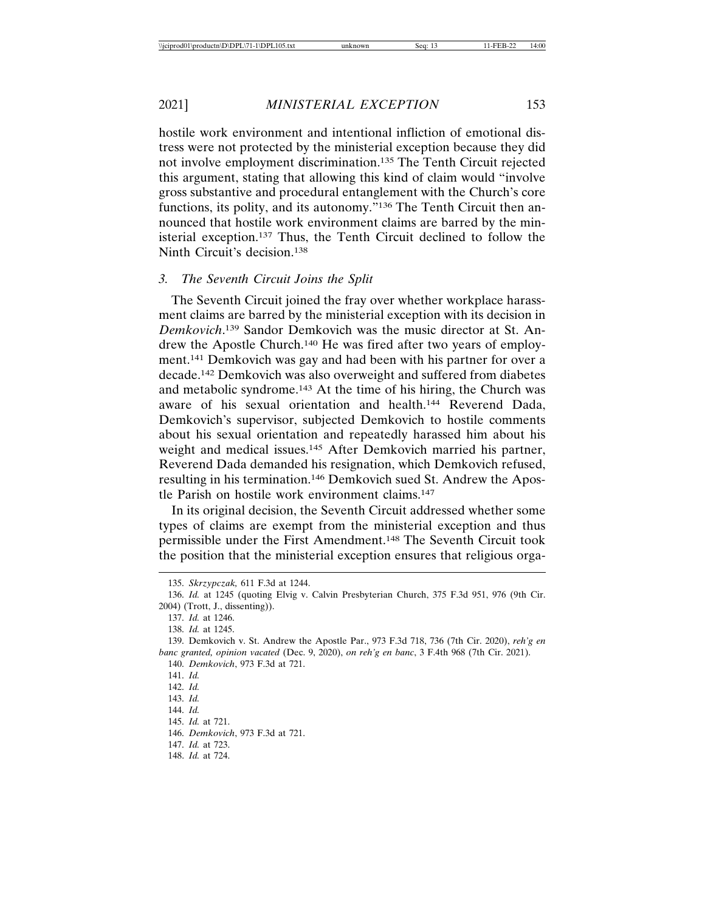hostile work environment and intentional infliction of emotional distress were not protected by the ministerial exception because they did not involve employment discrimination.135 The Tenth Circuit rejected this argument, stating that allowing this kind of claim would "involve gross substantive and procedural entanglement with the Church's core functions, its polity, and its autonomy."136 The Tenth Circuit then announced that hostile work environment claims are barred by the ministerial exception.137 Thus, the Tenth Circuit declined to follow the Ninth Circuit's decision.138

## *3. The Seventh Circuit Joins the Split*

The Seventh Circuit joined the fray over whether workplace harassment claims are barred by the ministerial exception with its decision in *Demkovich*. 139 Sandor Demkovich was the music director at St. Andrew the Apostle Church.140 He was fired after two years of employment.141 Demkovich was gay and had been with his partner for over a decade.142 Demkovich was also overweight and suffered from diabetes and metabolic syndrome.143 At the time of his hiring, the Church was aware of his sexual orientation and health.144 Reverend Dada, Demkovich's supervisor, subjected Demkovich to hostile comments about his sexual orientation and repeatedly harassed him about his weight and medical issues.<sup>145</sup> After Demkovich married his partner, Reverend Dada demanded his resignation, which Demkovich refused, resulting in his termination.146 Demkovich sued St. Andrew the Apostle Parish on hostile work environment claims.147

In its original decision, the Seventh Circuit addressed whether some types of claims are exempt from the ministerial exception and thus permissible under the First Amendment.148 The Seventh Circuit took the position that the ministerial exception ensures that religious orga-

141. *Id.*

142. *Id.*

144. *Id.*

146. *Demkovich*, 973 F.3d at 721.

148. *Id.* at 724.

<sup>135.</sup> *Skrzypczak,* 611 F.3d at 1244.

<sup>136.</sup> *Id.* at 1245 (quoting Elvig v. Calvin Presbyterian Church, 375 F.3d 951, 976 (9th Cir. 2004) (Trott, J., dissenting)).

<sup>137.</sup> *Id.* at 1246.

<sup>138.</sup> *Id.* at 1245.

<sup>139.</sup> Demkovich v. St. Andrew the Apostle Par., 973 F.3d 718, 736 (7th Cir. 2020), *reh'g en banc granted, opinion vacated* (Dec. 9, 2020), *on reh'g en banc*, 3 F.4th 968 (7th Cir. 2021). 140. *Demkovich*, 973 F.3d at 721.

<sup>143.</sup> *Id.*

<sup>145.</sup> *Id.* at 721.

<sup>147.</sup> *Id.* at 723.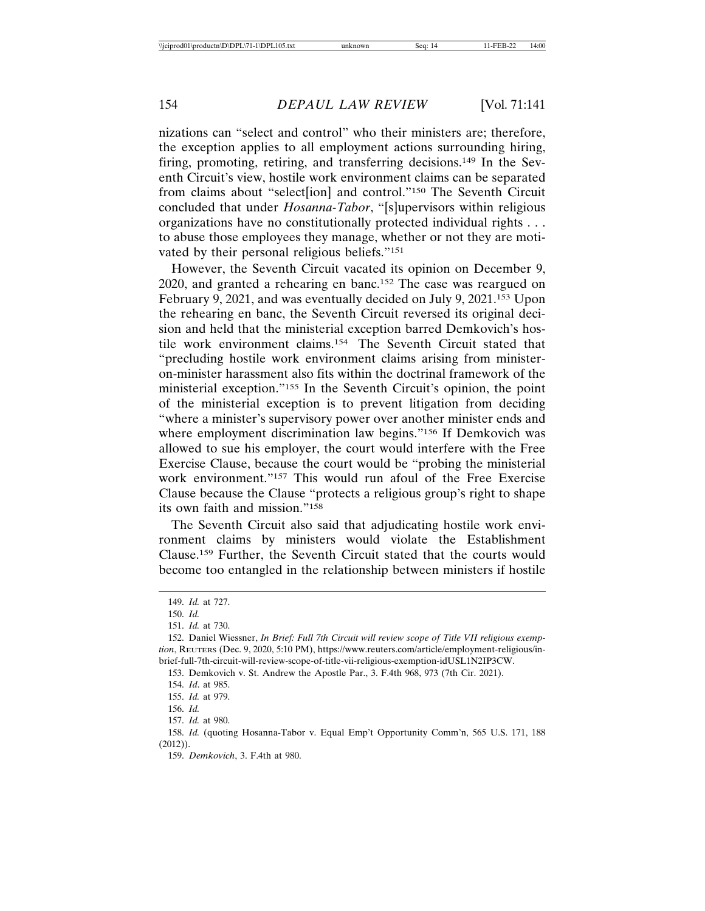nizations can "select and control" who their ministers are; therefore, the exception applies to all employment actions surrounding hiring, firing, promoting, retiring, and transferring decisions.149 In the Seventh Circuit's view, hostile work environment claims can be separated from claims about "select[ion] and control."150 The Seventh Circuit concluded that under *Hosanna-Tabor*, "[s]upervisors within religious organizations have no constitutionally protected individual rights . . . to abuse those employees they manage, whether or not they are motivated by their personal religious beliefs."151

However, the Seventh Circuit vacated its opinion on December 9, 2020, and granted a rehearing en banc.152 The case was reargued on February 9, 2021, and was eventually decided on July 9, 2021.<sup>153</sup> Upon the rehearing en banc, the Seventh Circuit reversed its original decision and held that the ministerial exception barred Demkovich's hostile work environment claims.154 The Seventh Circuit stated that "precluding hostile work environment claims arising from ministeron-minister harassment also fits within the doctrinal framework of the ministerial exception."155 In the Seventh Circuit's opinion, the point of the ministerial exception is to prevent litigation from deciding "where a minister's supervisory power over another minister ends and where employment discrimination law begins."<sup>156</sup> If Demkovich was allowed to sue his employer, the court would interfere with the Free Exercise Clause, because the court would be "probing the ministerial work environment."<sup>157</sup> This would run afoul of the Free Exercise Clause because the Clause "protects a religious group's right to shape its own faith and mission."158

The Seventh Circuit also said that adjudicating hostile work environment claims by ministers would violate the Establishment Clause.159 Further, the Seventh Circuit stated that the courts would become too entangled in the relationship between ministers if hostile

157. *Id.* at 980.

158. *Id.* (quoting Hosanna-Tabor v. Equal Emp't Opportunity Comm'n, 565 U.S. 171, 188 (2012)).

159. *Demkovich*, 3. F.4th at 980.

<sup>149.</sup> *Id.* at 727.

<sup>150.</sup> *Id.*

<sup>151.</sup> *Id.* at 730.

<sup>152.</sup> Daniel Wiessner, *In Brief: Full 7th Circuit will review scope of Title VII religious exemption*, REUTERS (Dec. 9, 2020, 5:10 PM), https://www.reuters.com/article/employment-religious/inbrief-full-7th-circuit-will-review-scope-of-title-vii-religious-exemption-idUSL1N2IP3CW.

<sup>153.</sup> Demkovich v. St. Andrew the Apostle Par., 3. F.4th 968, 973 (7th Cir. 2021).

<sup>154.</sup> *Id*. at 985.

<sup>155.</sup> *Id.* at 979.

<sup>156.</sup> *Id.*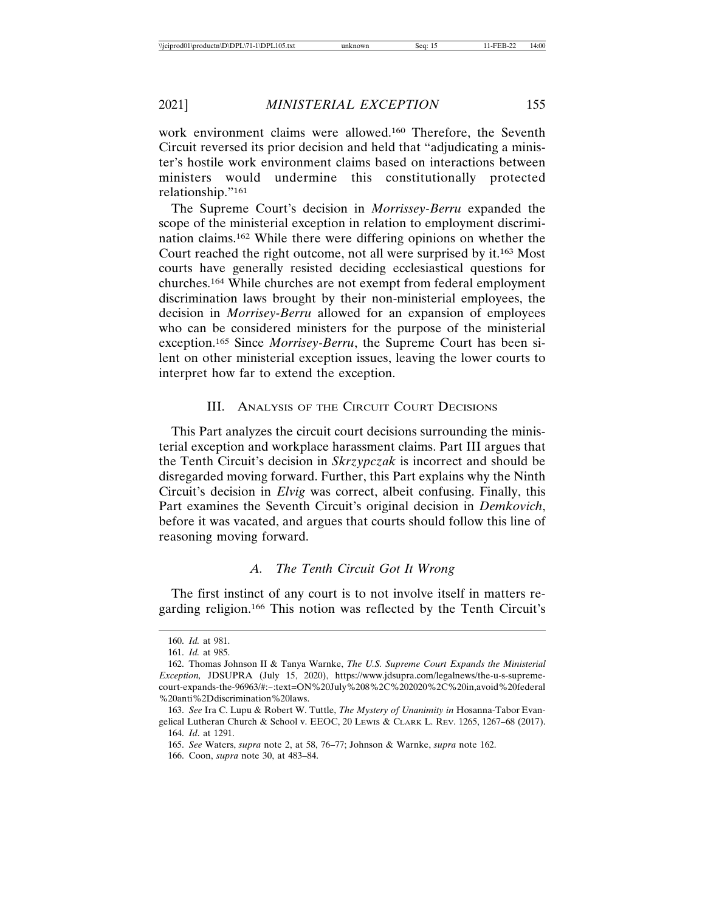work environment claims were allowed.160 Therefore, the Seventh Circuit reversed its prior decision and held that "adjudicating a minister's hostile work environment claims based on interactions between ministers would undermine this constitutionally protected relationship."161

The Supreme Court's decision in *Morrissey-Berru* expanded the scope of the ministerial exception in relation to employment discrimination claims.162 While there were differing opinions on whether the Court reached the right outcome, not all were surprised by it.163 Most courts have generally resisted deciding ecclesiastical questions for churches.164 While churches are not exempt from federal employment discrimination laws brought by their non-ministerial employees, the decision in *Morrisey-Berru* allowed for an expansion of employees who can be considered ministers for the purpose of the ministerial exception.165 Since *Morrisey-Berru*, the Supreme Court has been silent on other ministerial exception issues, leaving the lower courts to interpret how far to extend the exception.

## III. ANALYSIS OF THE CIRCUIT COURT DECISIONS

This Part analyzes the circuit court decisions surrounding the ministerial exception and workplace harassment claims. Part III argues that the Tenth Circuit's decision in *Skrzypczak* is incorrect and should be disregarded moving forward. Further, this Part explains why the Ninth Circuit's decision in *Elvig* was correct, albeit confusing. Finally, this Part examines the Seventh Circuit's original decision in *Demkovich*, before it was vacated, and argues that courts should follow this line of reasoning moving forward.

## *A. The Tenth Circuit Got It Wrong*

The first instinct of any court is to not involve itself in matters regarding religion.166 This notion was reflected by the Tenth Circuit's

<sup>160.</sup> *Id.* at 981.

<sup>161.</sup> *Id.* at 985.

<sup>162.</sup> Thomas Johnson II & Tanya Warnke, *The U.S. Supreme Court Expands the Ministerial Exception,* JDSUPRA (July 15, 2020), https://www.jdsupra.com/legalnews/the-u-s-supremecourt-expands-the-96963/#:~:text=ON%20July%208%2C%202020%2C%20in,avoid%20federal %20anti%2Ddiscrimination%20laws.

<sup>163.</sup> *See* Ira C. Lupu & Robert W. Tuttle, *The Mystery of Unanimity in* Hosanna-Tabor Evangelical Lutheran Church & School v. EEOC, 20 LEWIS & CLARK L. REV. 1265, 1267–68 (2017). 164. *Id*. at 1291.

<sup>165.</sup> *See* Waters, *supra* note 2, at 58, 76–77; Johnson & Warnke, *supra* note 162.

<sup>166.</sup> Coon, *supra* note 30, at 483–84.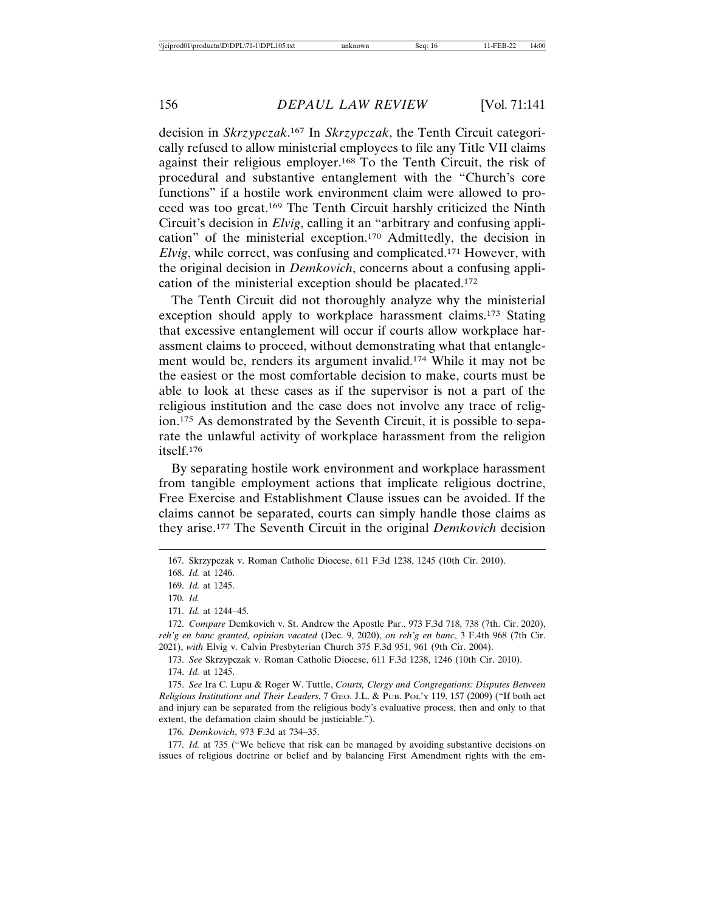decision in *Skrzypczak*. 167 In *Skrzypczak*, the Tenth Circuit categorically refused to allow ministerial employees to file any Title VII claims against their religious employer.168 To the Tenth Circuit, the risk of procedural and substantive entanglement with the "Church's core functions" if a hostile work environment claim were allowed to proceed was too great.169 The Tenth Circuit harshly criticized the Ninth Circuit's decision in *Elvig*, calling it an "arbitrary and confusing application" of the ministerial exception.170 Admittedly, the decision in *Elvig*, while correct, was confusing and complicated.171 However, with the original decision in *Demkovich*, concerns about a confusing application of the ministerial exception should be placated.172

The Tenth Circuit did not thoroughly analyze why the ministerial exception should apply to workplace harassment claims.173 Stating that excessive entanglement will occur if courts allow workplace harassment claims to proceed, without demonstrating what that entanglement would be, renders its argument invalid.174 While it may not be the easiest or the most comfortable decision to make, courts must be able to look at these cases as if the supervisor is not a part of the religious institution and the case does not involve any trace of religion.175 As demonstrated by the Seventh Circuit, it is possible to separate the unlawful activity of workplace harassment from the religion itself.176

By separating hostile work environment and workplace harassment from tangible employment actions that implicate religious doctrine, Free Exercise and Establishment Clause issues can be avoided. If the claims cannot be separated, courts can simply handle those claims as they arise.177 The Seventh Circuit in the original *Demkovich* decision

173. *See* Skrzypczak v. Roman Catholic Diocese, 611 F.3d 1238, 1246 (10th Cir. 2010). 174. *Id.* at 1245.

175. *See* Ira C. Lupu & Roger W. Tuttle, *Courts, Clergy and Congregations: Disputes Between Religious Institutions and Their Leaders*, 7 GEO. J.L. & PUB. POL'Y 119, 157 (2009) ("If both act and injury can be separated from the religious body's evaluative process, then and only to that extent, the defamation claim should be justiciable.").

176. *Demkovich*, 973 F.3d at 734–35.

177. *Id.* at 735 ("We believe that risk can be managed by avoiding substantive decisions on issues of religious doctrine or belief and by balancing First Amendment rights with the em-

<sup>167.</sup> Skrzypczak v. Roman Catholic Diocese, 611 F.3d 1238, 1245 (10th Cir. 2010).

<sup>168.</sup> *Id.* at 1246.

<sup>169.</sup> *Id.* at 1245.

<sup>170.</sup> *Id.*

<sup>171.</sup> *Id.* at 1244–45.

<sup>172.</sup> *Compare* Demkovich v. St. Andrew the Apostle Par., 973 F.3d 718, 738 (7th. Cir. 2020), *reh'g en banc granted, opinion vacated* (Dec. 9, 2020), *on reh'g en banc*, 3 F.4th 968 (7th Cir. 2021), *with* Elvig v. Calvin Presbyterian Church 375 F.3d 951, 961 (9th Cir. 2004).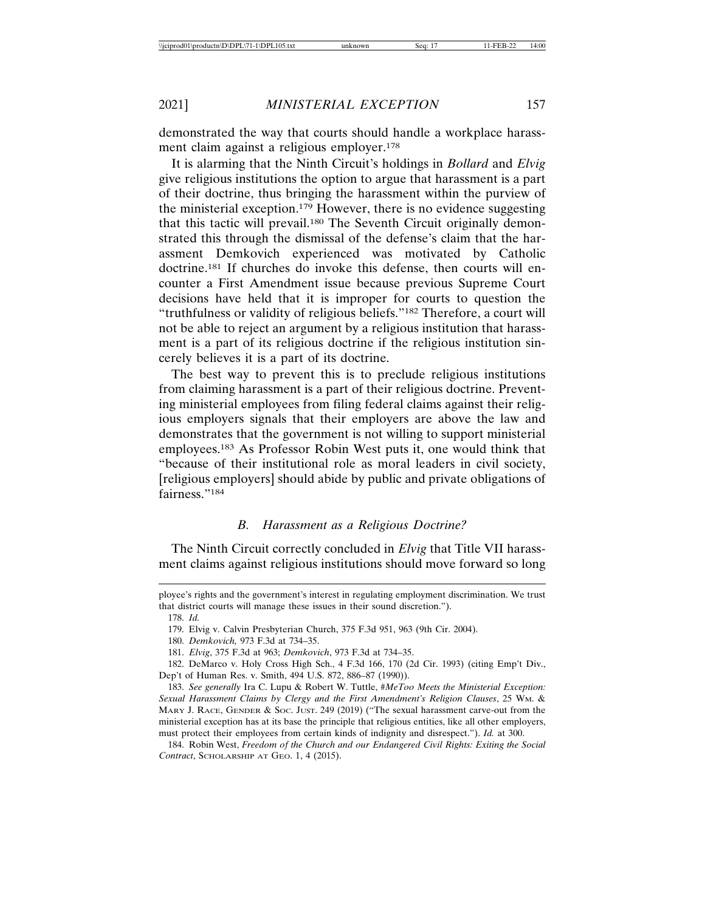demonstrated the way that courts should handle a workplace harassment claim against a religious employer.178

It is alarming that the Ninth Circuit's holdings in *Bollard* and *Elvig* give religious institutions the option to argue that harassment is a part of their doctrine, thus bringing the harassment within the purview of the ministerial exception.179 However, there is no evidence suggesting that this tactic will prevail.180 The Seventh Circuit originally demonstrated this through the dismissal of the defense's claim that the harassment Demkovich experienced was motivated by Catholic doctrine.181 If churches do invoke this defense, then courts will encounter a First Amendment issue because previous Supreme Court decisions have held that it is improper for courts to question the "truthfulness or validity of religious beliefs."182 Therefore, a court will not be able to reject an argument by a religious institution that harassment is a part of its religious doctrine if the religious institution sincerely believes it is a part of its doctrine.

The best way to prevent this is to preclude religious institutions from claiming harassment is a part of their religious doctrine. Preventing ministerial employees from filing federal claims against their religious employers signals that their employers are above the law and demonstrates that the government is not willing to support ministerial employees.183 As Professor Robin West puts it, one would think that "because of their institutional role as moral leaders in civil society, [religious employers] should abide by public and private obligations of fairness."184

## *B. Harassment as a Religious Doctrine?*

The Ninth Circuit correctly concluded in *Elvig* that Title VII harassment claims against religious institutions should move forward so long

ployee's rights and the government's interest in regulating employment discrimination. We trust that district courts will manage these issues in their sound discretion.").

<sup>178.</sup> *Id.*

<sup>179.</sup> Elvig v. Calvin Presbyterian Church, 375 F.3d 951, 963 (9th Cir. 2004).

<sup>180.</sup> *Demkovich,* 973 F.3d at 734–35.

<sup>181.</sup> *Elvig*, 375 F.3d at 963; *Demkovich*, 973 F.3d at 734–35.

<sup>182.</sup> DeMarco v. Holy Cross High Sch., 4 F.3d 166, 170 (2d Cir. 1993) (citing Emp't Div., Dep't of Human Res. v. Smith, 494 U.S. 872, 886–87 (1990)).

<sup>183.</sup> *See generally* Ira C. Lupu & Robert W. Tuttle, *#MeToo Meets the Ministerial Exception: Sexual Harassment Claims by Clergy and the First Amendment's Religion Clauses*, 25 WM. & MARY J. RACE, GENDER & SOC. JUST. 249 (2019) ("The sexual harassment carve-out from the ministerial exception has at its base the principle that religious entities, like all other employers, must protect their employees from certain kinds of indignity and disrespect."). *Id.* at 300.

<sup>184.</sup> Robin West, *Freedom of the Church and our Endangered Civil Rights: Exiting the Social Contract*, SCHOLARSHIP AT GEO. 1, 4 (2015).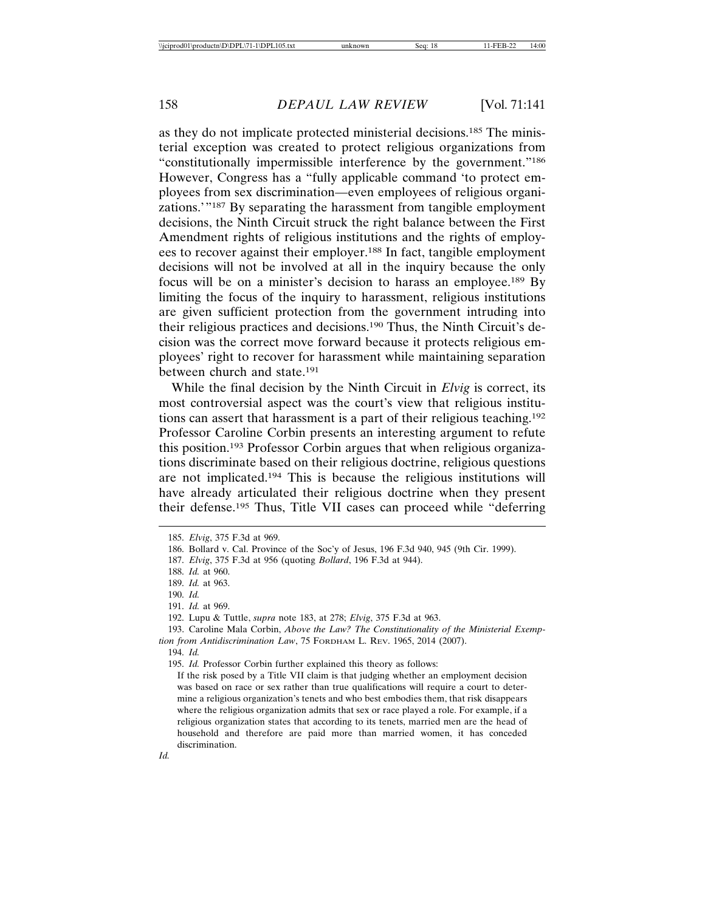as they do not implicate protected ministerial decisions.185 The ministerial exception was created to protect religious organizations from "constitutionally impermissible interference by the government."186 However, Congress has a "fully applicable command 'to protect employees from sex discrimination—even employees of religious organizations.'"187 By separating the harassment from tangible employment decisions, the Ninth Circuit struck the right balance between the First Amendment rights of religious institutions and the rights of employees to recover against their employer.188 In fact, tangible employment decisions will not be involved at all in the inquiry because the only focus will be on a minister's decision to harass an employee.189 By limiting the focus of the inquiry to harassment, religious institutions are given sufficient protection from the government intruding into their religious practices and decisions.190 Thus, the Ninth Circuit's decision was the correct move forward because it protects religious employees' right to recover for harassment while maintaining separation between church and state.191

While the final decision by the Ninth Circuit in *Elvig* is correct, its most controversial aspect was the court's view that religious institutions can assert that harassment is a part of their religious teaching.192 Professor Caroline Corbin presents an interesting argument to refute this position.193 Professor Corbin argues that when religious organizations discriminate based on their religious doctrine, religious questions are not implicated.194 This is because the religious institutions will have already articulated their religious doctrine when they present their defense.195 Thus, Title VII cases can proceed while "deferring

<sup>185.</sup> *Elvig*, 375 F.3d at 969.

<sup>186.</sup> Bollard v. Cal. Province of the Soc'y of Jesus, 196 F.3d 940, 945 (9th Cir. 1999).

<sup>187.</sup> *Elvig*, 375 F.3d at 956 (quoting *Bollard*, 196 F.3d at 944).

<sup>188.</sup> *Id.* at 960.

<sup>189.</sup> *Id.* at 963.

<sup>190.</sup> *Id.*

<sup>191.</sup> *Id.* at 969.

<sup>192.</sup> Lupu & Tuttle, *supra* note 183, at 278; *Elvig*, 375 F.3d at 963.

<sup>193.</sup> Caroline Mala Corbin, *Above the Law? The Constitutionality of the Ministerial Exemption from Antidiscrimination Law*, 75 FORDHAM L. REV. 1965, 2014 (2007).

<sup>194.</sup> *Id.*

<sup>195.</sup> *Id.* Professor Corbin further explained this theory as follows:

If the risk posed by a Title VII claim is that judging whether an employment decision was based on race or sex rather than true qualifications will require a court to determine a religious organization's tenets and who best embodies them, that risk disappears where the religious organization admits that sex or race played a role. For example, if a religious organization states that according to its tenets, married men are the head of household and therefore are paid more than married women, it has conceded discrimination.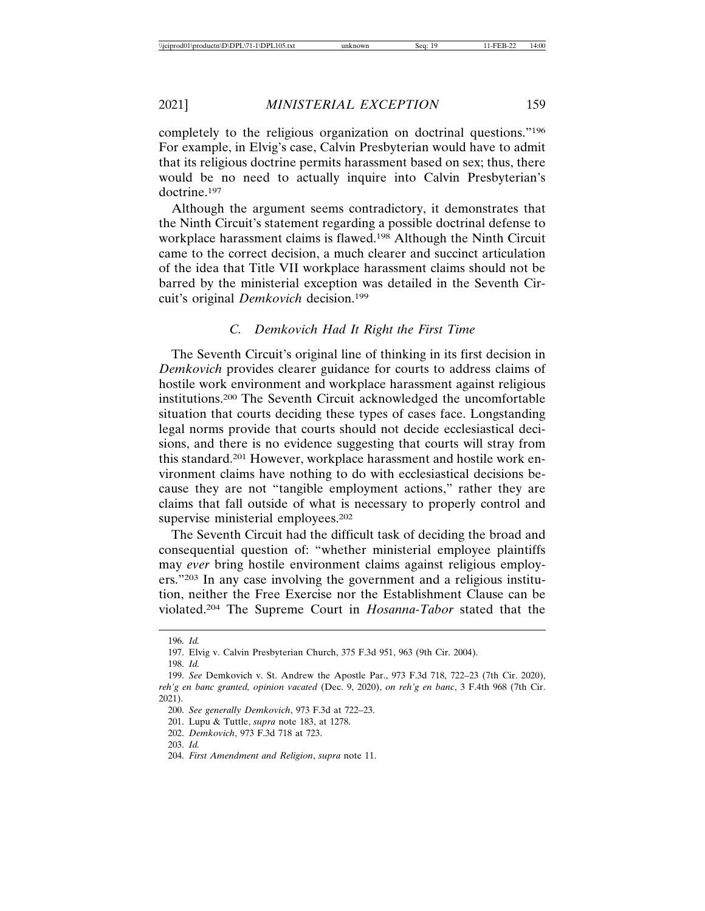completely to the religious organization on doctrinal questions."196 For example, in Elvig's case, Calvin Presbyterian would have to admit that its religious doctrine permits harassment based on sex; thus, there would be no need to actually inquire into Calvin Presbyterian's doctrine.197

Although the argument seems contradictory, it demonstrates that the Ninth Circuit's statement regarding a possible doctrinal defense to workplace harassment claims is flawed.198 Although the Ninth Circuit came to the correct decision, a much clearer and succinct articulation of the idea that Title VII workplace harassment claims should not be barred by the ministerial exception was detailed in the Seventh Circuit's original *Demkovich* decision.199

## *C. Demkovich Had It Right the First Time*

The Seventh Circuit's original line of thinking in its first decision in *Demkovich* provides clearer guidance for courts to address claims of hostile work environment and workplace harassment against religious institutions.200 The Seventh Circuit acknowledged the uncomfortable situation that courts deciding these types of cases face. Longstanding legal norms provide that courts should not decide ecclesiastical decisions, and there is no evidence suggesting that courts will stray from this standard.201 However, workplace harassment and hostile work environment claims have nothing to do with ecclesiastical decisions because they are not "tangible employment actions," rather they are claims that fall outside of what is necessary to properly control and supervise ministerial employees.<sup>202</sup>

The Seventh Circuit had the difficult task of deciding the broad and consequential question of: "whether ministerial employee plaintiffs may *ever* bring hostile environment claims against religious employers."203 In any case involving the government and a religious institution, neither the Free Exercise nor the Establishment Clause can be violated.204 The Supreme Court in *Hosanna-Tabor* stated that the

<sup>196.</sup> *Id.*

<sup>197.</sup> Elvig v. Calvin Presbyterian Church, 375 F.3d 951, 963 (9th Cir. 2004).

<sup>198.</sup> *Id.*

<sup>199.</sup> *See* Demkovich v. St. Andrew the Apostle Par., 973 F.3d 718, 722–23 (7th Cir. 2020), *reh'g en banc granted, opinion vacated* (Dec. 9, 2020), *on reh'g en banc*, 3 F.4th 968 (7th Cir. 2021).

<sup>200.</sup> *See generally Demkovich*, 973 F.3d at 722–23.

<sup>201.</sup> Lupu & Tuttle, *supra* note 183, at 1278.

<sup>202.</sup> *Demkovich*, 973 F.3d 718 at 723.

<sup>203.</sup> *Id.*

<sup>204.</sup> *First Amendment and Religion*, *supra* note 11.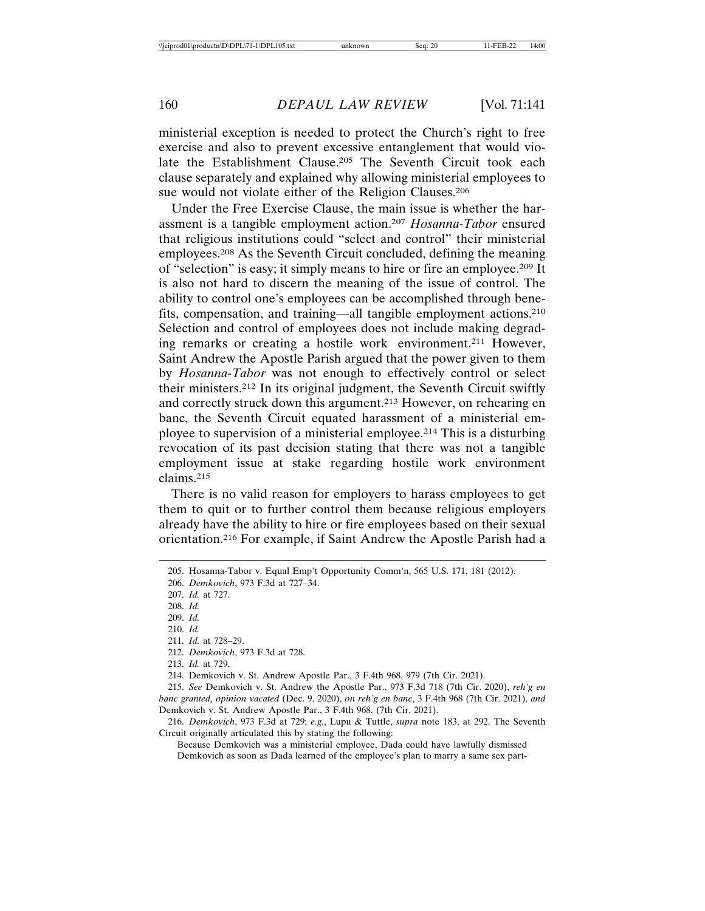ministerial exception is needed to protect the Church's right to free exercise and also to prevent excessive entanglement that would violate the Establishment Clause.205 The Seventh Circuit took each clause separately and explained why allowing ministerial employees to sue would not violate either of the Religion Clauses.206

Under the Free Exercise Clause, the main issue is whether the harassment is a tangible employment action.207 *Hosanna-Tabor* ensured that religious institutions could "select and control" their ministerial employees.208 As the Seventh Circuit concluded, defining the meaning of "selection" is easy; it simply means to hire or fire an employee.209 It is also not hard to discern the meaning of the issue of control. The ability to control one's employees can be accomplished through benefits, compensation, and training—all tangible employment actions.210 Selection and control of employees does not include making degrading remarks or creating a hostile work environment.211 However, Saint Andrew the Apostle Parish argued that the power given to them by *Hosanna-Tabor* was not enough to effectively control or select their ministers.212 In its original judgment, the Seventh Circuit swiftly and correctly struck down this argument.213 However, on rehearing en banc, the Seventh Circuit equated harassment of a ministerial employee to supervision of a ministerial employee.214 This is a disturbing revocation of its past decision stating that there was not a tangible employment issue at stake regarding hostile work environment claims.215

There is no valid reason for employers to harass employees to get them to quit or to further control them because religious employers already have the ability to hire or fire employees based on their sexual orientation.216 For example, if Saint Andrew the Apostle Parish had a

211. *Id.* at 728–29.

213. *Id.* at 729.

214. Demkovich v. St. Andrew Apostle Par., 3 F.4th 968, 979 (7th Cir. 2021).

215. *See* Demkovich v. St. Andrew the Apostle Par., 973 F.3d 718 (7th Cir. 2020), *reh'g en banc granted, opinion vacated* (Dec. 9, 2020), *on reh'g en banc*, 3 F.4th 968 (7th Cir. 2021), *and* Demkovich v. St. Andrew Apostle Par., 3 F.4th 968. (7th Cir. 2021).

216. *Demkovich*, 973 F.3d at 729; *e.g.*, Lupu & Tuttle, *supra* note 183, at 292. The Seventh Circuit originally articulated this by stating the following:

Because Demkovich was a ministerial employee, Dada could have lawfully dismissed Demkovich as soon as Dada learned of the employee's plan to marry a same sex part-

<sup>205.</sup> Hosanna-Tabor v. Equal Emp't Opportunity Comm'n, 565 U.S. 171, 181 (2012).

<sup>206.</sup> *Demkovich*, 973 F.3d at 727–34.

<sup>207.</sup> *Id.* at 727.

<sup>208.</sup> *Id.*

<sup>209.</sup> *Id.*

<sup>210.</sup> *Id.*

<sup>212.</sup> *Demkovich*, 973 F.3d at 728.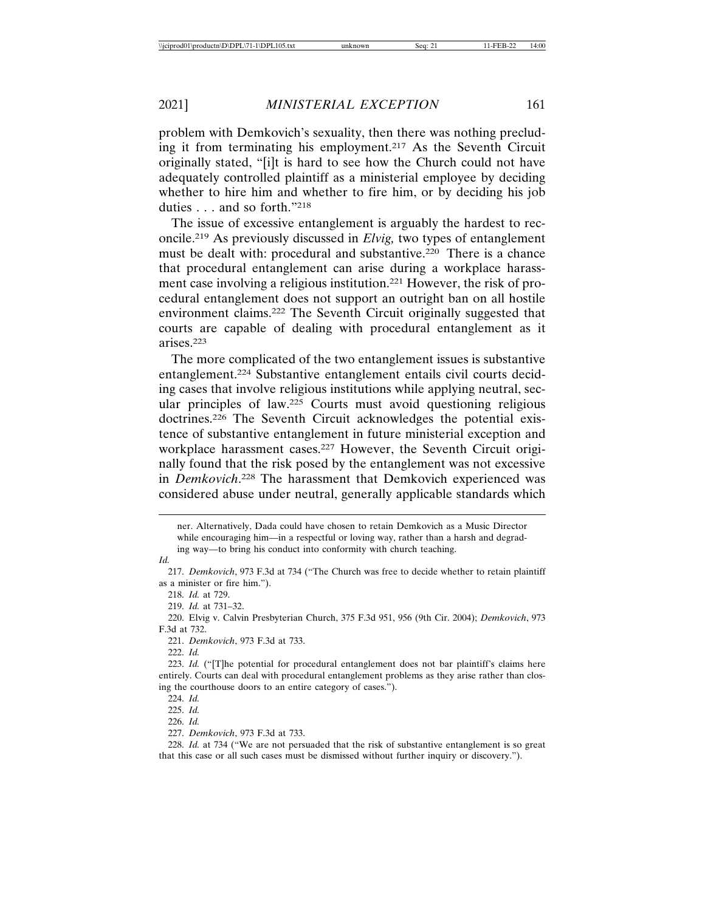problem with Demkovich's sexuality, then there was nothing precluding it from terminating his employment.217 As the Seventh Circuit originally stated, "[i]t is hard to see how the Church could not have adequately controlled plaintiff as a ministerial employee by deciding whether to hire him and whether to fire him, or by deciding his job duties . . . and so forth."218

The issue of excessive entanglement is arguably the hardest to reconcile.219 As previously discussed in *Elvig,* two types of entanglement must be dealt with: procedural and substantive.<sup>220</sup> There is a chance that procedural entanglement can arise during a workplace harassment case involving a religious institution.221 However, the risk of procedural entanglement does not support an outright ban on all hostile environment claims.222 The Seventh Circuit originally suggested that courts are capable of dealing with procedural entanglement as it arises.223

The more complicated of the two entanglement issues is substantive entanglement.224 Substantive entanglement entails civil courts deciding cases that involve religious institutions while applying neutral, secular principles of law.225 Courts must avoid questioning religious doctrines.226 The Seventh Circuit acknowledges the potential existence of substantive entanglement in future ministerial exception and workplace harassment cases.227 However, the Seventh Circuit originally found that the risk posed by the entanglement was not excessive in *Demkovich*. 228 The harassment that Demkovich experienced was considered abuse under neutral, generally applicable standards which

*Id.*

218. *Id.* at 729.

219. *Id.* at 731–32.

221. *Demkovich*, 973 F.3d at 733.

222. *Id.*

226. *Id.*

227. *Demkovich*, 973 F.3d at 733.

228. *Id.* at 734 ("We are not persuaded that the risk of substantive entanglement is so great that this case or all such cases must be dismissed without further inquiry or discovery.").

ner. Alternatively, Dada could have chosen to retain Demkovich as a Music Director while encouraging him—in a respectful or loving way, rather than a harsh and degrading way—to bring his conduct into conformity with church teaching.

<sup>217.</sup> *Demkovich*, 973 F.3d at 734 ("The Church was free to decide whether to retain plaintiff as a minister or fire him.").

<sup>220.</sup> Elvig v. Calvin Presbyterian Church, 375 F.3d 951, 956 (9th Cir. 2004); *Demkovich*, 973 F.3d at 732.

<sup>223.</sup> *Id.* ("[T]he potential for procedural entanglement does not bar plaintiff's claims here entirely. Courts can deal with procedural entanglement problems as they arise rather than closing the courthouse doors to an entire category of cases.").

<sup>224.</sup> *Id.*

<sup>225.</sup> *Id.*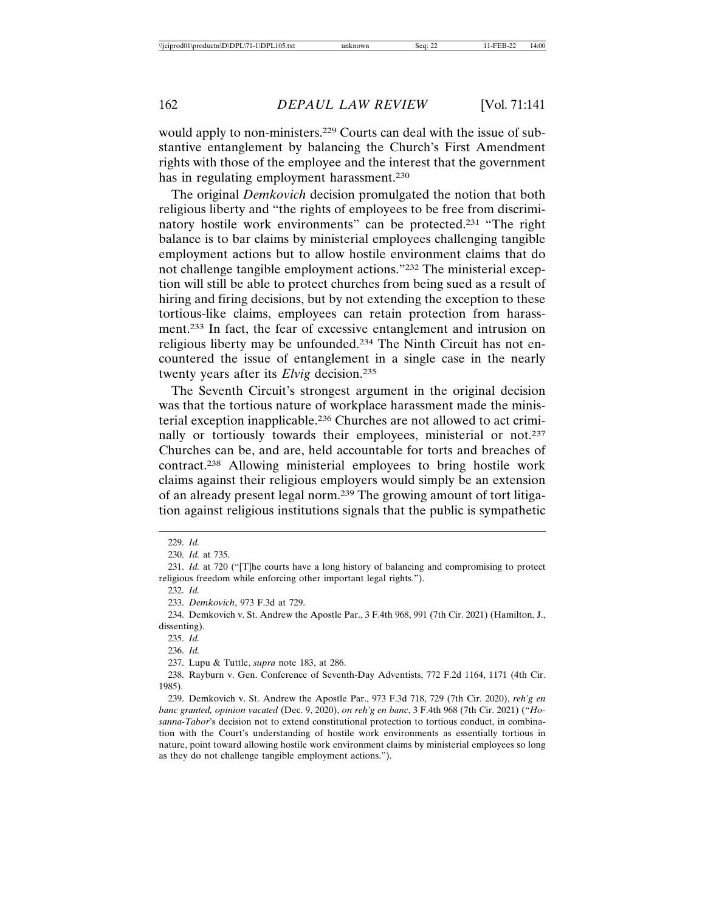would apply to non-ministers.<sup>229</sup> Courts can deal with the issue of substantive entanglement by balancing the Church's First Amendment rights with those of the employee and the interest that the government has in regulating employment harassment.<sup>230</sup>

The original *Demkovich* decision promulgated the notion that both religious liberty and "the rights of employees to be free from discriminatory hostile work environments" can be protected.231 "The right balance is to bar claims by ministerial employees challenging tangible employment actions but to allow hostile environment claims that do not challenge tangible employment actions."232 The ministerial exception will still be able to protect churches from being sued as a result of hiring and firing decisions, but by not extending the exception to these tortious-like claims, employees can retain protection from harassment.233 In fact, the fear of excessive entanglement and intrusion on religious liberty may be unfounded.234 The Ninth Circuit has not encountered the issue of entanglement in a single case in the nearly twenty years after its *Elvig* decision.235

The Seventh Circuit's strongest argument in the original decision was that the tortious nature of workplace harassment made the ministerial exception inapplicable.236 Churches are not allowed to act criminally or tortiously towards their employees, ministerial or not.<sup>237</sup> Churches can be, and are, held accountable for torts and breaches of contract.238 Allowing ministerial employees to bring hostile work claims against their religious employers would simply be an extension of an already present legal norm.239 The growing amount of tort litigation against religious institutions signals that the public is sympathetic

<sup>229.</sup> *Id.*

<sup>230.</sup> *Id.* at 735.

<sup>231.</sup> *Id.* at 720 ("[T]he courts have a long history of balancing and compromising to protect religious freedom while enforcing other important legal rights.").

<sup>232.</sup> *Id.*

<sup>233.</sup> *Demkovich*, 973 F.3d at 729.

<sup>234.</sup> Demkovich v. St. Andrew the Apostle Par., 3 F.4th 968, 991 (7th Cir. 2021) (Hamilton, J., dissenting).

<sup>235.</sup> *Id.*

<sup>236.</sup> *Id.*

<sup>237.</sup> Lupu & Tuttle, *supra* note 183, at 286.

<sup>238.</sup> Rayburn v. Gen. Conference of Seventh-Day Adventists, 772 F.2d 1164, 1171 (4th Cir. 1985).

<sup>239.</sup> Demkovich v. St. Andrew the Apostle Par., 973 F.3d 718, 729 (7th Cir. 2020), *reh'g en banc granted, opinion vacated* (Dec. 9, 2020), *on reh'g en banc*, 3 F.4th 968 (7th Cir. 2021) ("*Hosanna-Tabor*'s decision not to extend constitutional protection to tortious conduct, in combination with the Court's understanding of hostile work environments as essentially tortious in nature, point toward allowing hostile work environment claims by ministerial employees so long as they do not challenge tangible employment actions.").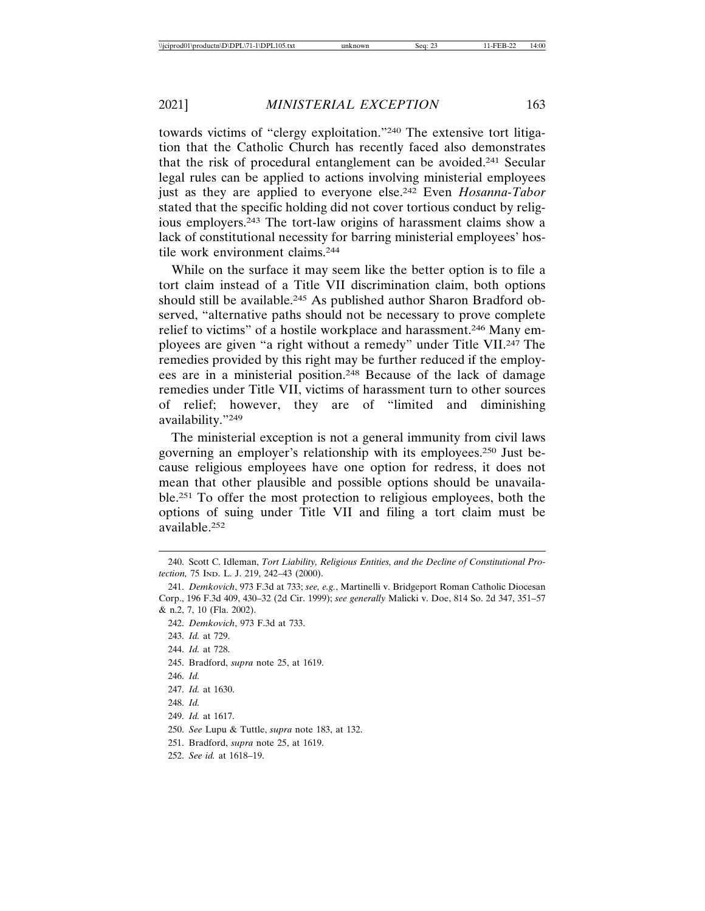towards victims of "clergy exploitation."240 The extensive tort litigation that the Catholic Church has recently faced also demonstrates that the risk of procedural entanglement can be avoided.241 Secular legal rules can be applied to actions involving ministerial employees just as they are applied to everyone else.242 Even *Hosanna-Tabor* stated that the specific holding did not cover tortious conduct by religious employers.243 The tort-law origins of harassment claims show a lack of constitutional necessity for barring ministerial employees' hostile work environment claims.244

While on the surface it may seem like the better option is to file a tort claim instead of a Title VII discrimination claim, both options should still be available.<sup>245</sup> As published author Sharon Bradford observed, "alternative paths should not be necessary to prove complete relief to victims" of a hostile workplace and harassment.246 Many employees are given "a right without a remedy" under Title VII.247 The remedies provided by this right may be further reduced if the employees are in a ministerial position.248 Because of the lack of damage remedies under Title VII, victims of harassment turn to other sources of relief; however, they are of "limited and diminishing availability."249

The ministerial exception is not a general immunity from civil laws governing an employer's relationship with its employees.250 Just because religious employees have one option for redress, it does not mean that other plausible and possible options should be unavailable.251 To offer the most protection to religious employees, both the options of suing under Title VII and filing a tort claim must be available.252

- 244. *Id.* at 728.
- 245. Bradford, *supra* note 25, at 1619.
- 246. *Id.*

248. *Id.*

- 251. Bradford, *supra* note 25, at 1619.
- 252. *See id.* at 1618–19.

<sup>240.</sup> Scott C. Idleman, *Tort Liability, Religious Entities, and the Decline of Constitutional Protection,* 75 IND. L. J. 219, 242–43 (2000).

<sup>241.</sup> *Demkovich*, 973 F.3d at 733; *see, e.g.*, Martinelli v. Bridgeport Roman Catholic Diocesan Corp., 196 F.3d 409, 430–32 (2d Cir. 1999); *see generally* Malicki v. Doe, 814 So. 2d 347, 351–57 & n.2, 7, 10 (Fla. 2002).

<sup>242.</sup> *Demkovich*, 973 F.3d at 733.

<sup>243.</sup> *Id.* at 729.

<sup>247.</sup> *Id.* at 1630.

<sup>249.</sup> *Id.* at 1617.

<sup>250.</sup> *See* Lupu & Tuttle, *supra* note 183, at 132.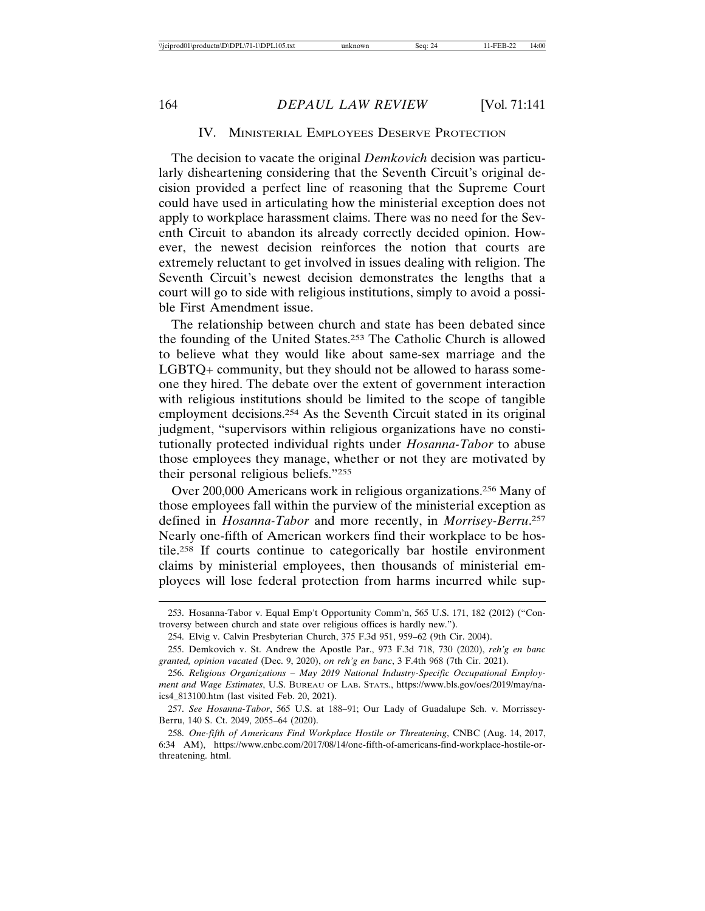## IV. MINISTERIAL EMPLOYEES DESERVE PROTECTION

The decision to vacate the original *Demkovich* decision was particularly disheartening considering that the Seventh Circuit's original decision provided a perfect line of reasoning that the Supreme Court could have used in articulating how the ministerial exception does not apply to workplace harassment claims. There was no need for the Seventh Circuit to abandon its already correctly decided opinion. However, the newest decision reinforces the notion that courts are extremely reluctant to get involved in issues dealing with religion. The Seventh Circuit's newest decision demonstrates the lengths that a court will go to side with religious institutions, simply to avoid a possible First Amendment issue.

The relationship between church and state has been debated since the founding of the United States.253 The Catholic Church is allowed to believe what they would like about same-sex marriage and the LGBTQ+ community, but they should not be allowed to harass someone they hired. The debate over the extent of government interaction with religious institutions should be limited to the scope of tangible employment decisions.254 As the Seventh Circuit stated in its original judgment, "supervisors within religious organizations have no constitutionally protected individual rights under *Hosanna-Tabor* to abuse those employees they manage, whether or not they are motivated by their personal religious beliefs."255

Over 200,000 Americans work in religious organizations.256 Many of those employees fall within the purview of the ministerial exception as defined in *Hosanna-Tabor* and more recently, in *Morrisey-Berru*. 257 Nearly one-fifth of American workers find their workplace to be hostile.258 If courts continue to categorically bar hostile environment claims by ministerial employees, then thousands of ministerial employees will lose federal protection from harms incurred while sup-

<sup>253.</sup> Hosanna-Tabor v. Equal Emp't Opportunity Comm'n, 565 U.S. 171, 182 (2012) ("Controversy between church and state over religious offices is hardly new.").

<sup>254.</sup> Elvig v. Calvin Presbyterian Church, 375 F.3d 951, 959–62 (9th Cir. 2004).

<sup>255.</sup> Demkovich v. St. Andrew the Apostle Par., 973 F.3d 718, 730 (2020), *reh'g en banc granted, opinion vacated* (Dec. 9, 2020), *on reh'g en banc*, 3 F.4th 968 (7th Cir. 2021).

<sup>256.</sup> *Religious Organizations – May 2019 National Industry-Specific Occupational Employment and Wage Estimates*, U.S. BUREAU OF LAB. STATS., https://www.bls.gov/oes/2019/may/naics4\_813100.htm (last visited Feb. 20, 2021).

<sup>257.</sup> *See Hosanna-Tabor*, 565 U.S. at 188–91; Our Lady of Guadalupe Sch. v. Morrissey-Berru, 140 S. Ct. 2049, 2055–64 (2020).

<sup>258.</sup> *One-fifth of Americans Find Workplace Hostile or Threatening*, CNBC (Aug. 14, 2017, 6:34 AM), https://www.cnbc.com/2017/08/14/one-fifth-of-americans-find-workplace-hostile-orthreatening. html.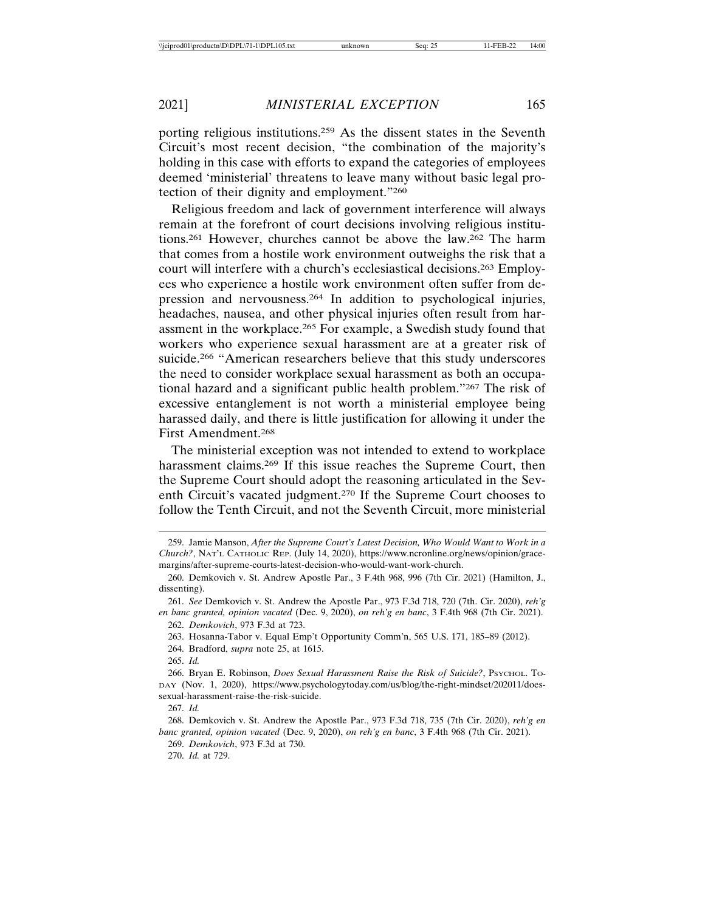porting religious institutions.259 As the dissent states in the Seventh Circuit's most recent decision, "the combination of the majority's holding in this case with efforts to expand the categories of employees deemed 'ministerial' threatens to leave many without basic legal protection of their dignity and employment."260

Religious freedom and lack of government interference will always remain at the forefront of court decisions involving religious institutions.261 However, churches cannot be above the law.262 The harm that comes from a hostile work environment outweighs the risk that a court will interfere with a church's ecclesiastical decisions.263 Employees who experience a hostile work environment often suffer from depression and nervousness.264 In addition to psychological injuries, headaches, nausea, and other physical injuries often result from harassment in the workplace.265 For example, a Swedish study found that workers who experience sexual harassment are at a greater risk of suicide.<sup>266</sup> "American researchers believe that this study underscores the need to consider workplace sexual harassment as both an occupational hazard and a significant public health problem."267 The risk of excessive entanglement is not worth a ministerial employee being harassed daily, and there is little justification for allowing it under the First Amendment.268

The ministerial exception was not intended to extend to workplace harassment claims.269 If this issue reaches the Supreme Court, then the Supreme Court should adopt the reasoning articulated in the Seventh Circuit's vacated judgment.270 If the Supreme Court chooses to follow the Tenth Circuit, and not the Seventh Circuit, more ministerial

264. Bradford, *supra* note 25, at 1615.

269. *Demkovich*, 973 F.3d at 730.

270. *Id.* at 729.

<sup>259.</sup> Jamie Manson, *After the Supreme Court's Latest Decision, Who Would Want to Work in a Church?*, NAT'L CATHOLIC REP. (July 14, 2020), https://www.ncronline.org/news/opinion/gracemargins/after-supreme-courts-latest-decision-who-would-want-work-church.

<sup>260.</sup> Demkovich v. St. Andrew Apostle Par., 3 F.4th 968, 996 (7th Cir. 2021) (Hamilton, J., dissenting).

<sup>261.</sup> *See* Demkovich v. St. Andrew the Apostle Par., 973 F.3d 718, 720 (7th. Cir. 2020), *reh'g en banc granted, opinion vacated* (Dec. 9, 2020), *on reh'g en banc*, 3 F.4th 968 (7th Cir. 2021). 262. *Demkovich*, 973 F.3d at 723.

<sup>263.</sup> Hosanna-Tabor v. Equal Emp't Opportunity Comm'n, 565 U.S. 171, 185–89 (2012).

<sup>265.</sup> *Id.*

<sup>266.</sup> Bryan E. Robinson, *Does Sexual Harassment Raise the Risk of Suicide?*, PSYCHOL. TO-DAY (Nov. 1, 2020), https://www.psychologytoday.com/us/blog/the-right-mindset/202011/doessexual-harassment-raise-the-risk-suicide.

<sup>267.</sup> *Id.*

<sup>268.</sup> Demkovich v. St. Andrew the Apostle Par., 973 F.3d 718, 735 (7th Cir. 2020), *reh'g en banc granted, opinion vacated* (Dec. 9, 2020), *on reh'g en banc*, 3 F.4th 968 (7th Cir. 2021).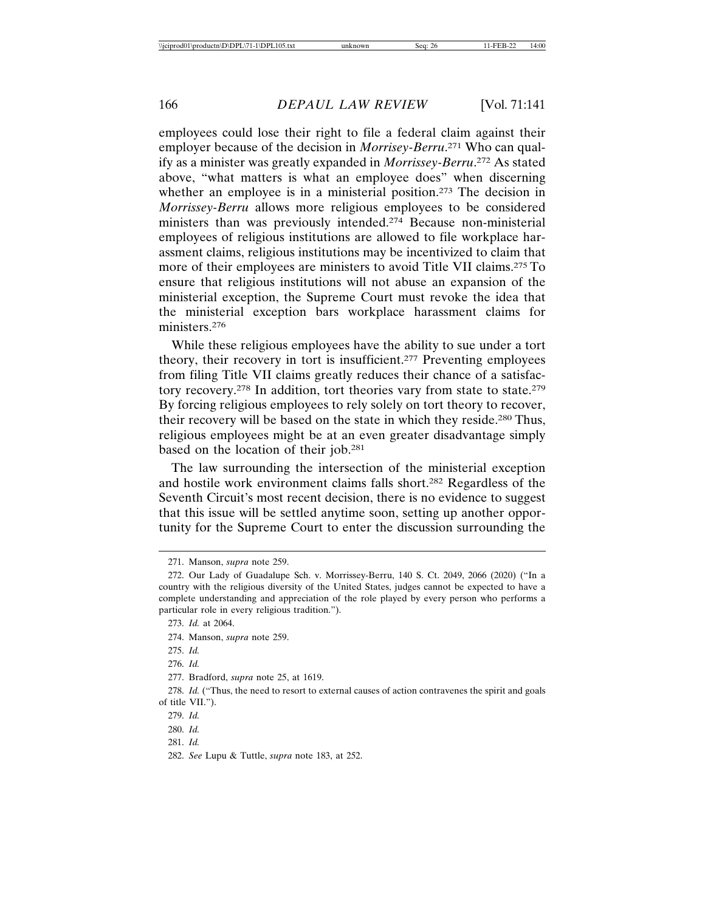employees could lose their right to file a federal claim against their employer because of the decision in *Morrisey-Berru*. 271 Who can qualify as a minister was greatly expanded in *Morrissey-Berru*. 272 As stated above, "what matters is what an employee does" when discerning whether an employee is in a ministerial position.<sup>273</sup> The decision in *Morrissey-Berru* allows more religious employees to be considered ministers than was previously intended.274 Because non-ministerial employees of religious institutions are allowed to file workplace harassment claims, religious institutions may be incentivized to claim that more of their employees are ministers to avoid Title VII claims.<sup>275</sup> To ensure that religious institutions will not abuse an expansion of the ministerial exception, the Supreme Court must revoke the idea that the ministerial exception bars workplace harassment claims for ministers.276

While these religious employees have the ability to sue under a tort theory, their recovery in tort is insufficient.277 Preventing employees from filing Title VII claims greatly reduces their chance of a satisfactory recovery.278 In addition, tort theories vary from state to state.279 By forcing religious employees to rely solely on tort theory to recover, their recovery will be based on the state in which they reside.280 Thus, religious employees might be at an even greater disadvantage simply based on the location of their job.281

The law surrounding the intersection of the ministerial exception and hostile work environment claims falls short.282 Regardless of the Seventh Circuit's most recent decision, there is no evidence to suggest that this issue will be settled anytime soon, setting up another opportunity for the Supreme Court to enter the discussion surrounding the

277. Bradford, *supra* note 25, at 1619.

278. *Id.* ("Thus, the need to resort to external causes of action contravenes the spirit and goals of title VII.").

<sup>271.</sup> Manson, *supra* note 259.

<sup>272.</sup> Our Lady of Guadalupe Sch. v. Morrissey-Berru, 140 S. Ct. 2049, 2066 (2020) ("In a country with the religious diversity of the United States, judges cannot be expected to have a complete understanding and appreciation of the role played by every person who performs a particular role in every religious tradition.").

<sup>273.</sup> *Id.* at 2064.

<sup>274.</sup> Manson, *supra* note 259.

<sup>275.</sup> *Id.*

<sup>276.</sup> *Id.*

<sup>279.</sup> *Id.*

<sup>280.</sup> *Id.*

<sup>281.</sup> *Id.*

<sup>282.</sup> *See* Lupu & Tuttle, *supra* note 183, at 252.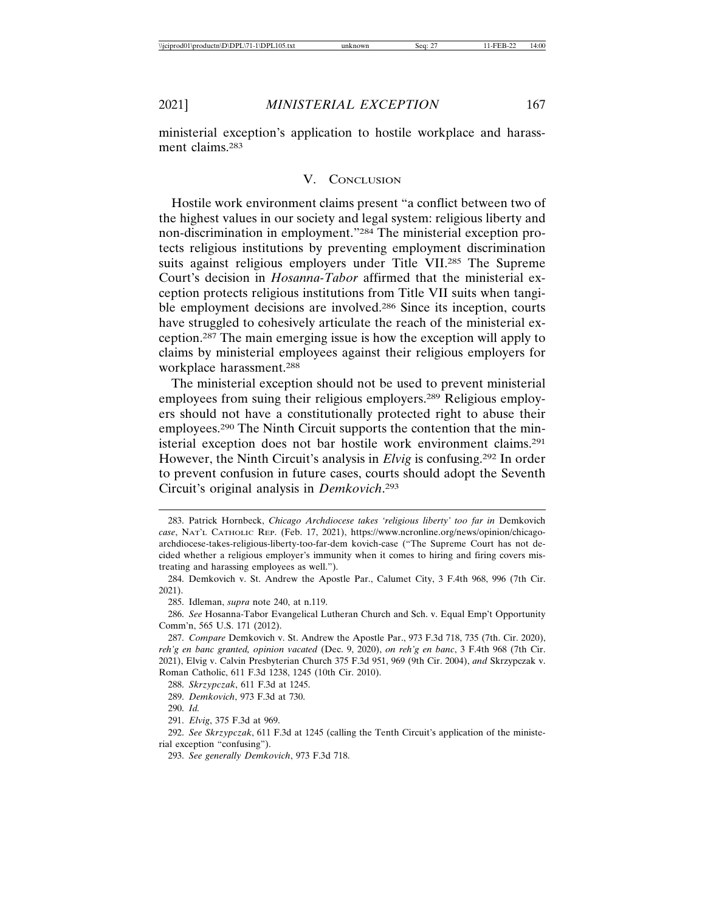ministerial exception's application to hostile workplace and harassment claims.283

#### V. CONCLUSION

Hostile work environment claims present "a conflict between two of the highest values in our society and legal system: religious liberty and non-discrimination in employment."284 The ministerial exception protects religious institutions by preventing employment discrimination suits against religious employers under Title VII.285 The Supreme Court's decision in *Hosanna-Tabor* affirmed that the ministerial exception protects religious institutions from Title VII suits when tangible employment decisions are involved.<sup>286</sup> Since its inception, courts have struggled to cohesively articulate the reach of the ministerial exception.287 The main emerging issue is how the exception will apply to claims by ministerial employees against their religious employers for workplace harassment.288

The ministerial exception should not be used to prevent ministerial employees from suing their religious employers.289 Religious employers should not have a constitutionally protected right to abuse their employees.290 The Ninth Circuit supports the contention that the ministerial exception does not bar hostile work environment claims.291 However, the Ninth Circuit's analysis in *Elvig* is confusing.292 In order to prevent confusion in future cases, courts should adopt the Seventh Circuit's original analysis in *Demkovich*. 293

<sup>283.</sup> Patrick Hornbeck, *Chicago Archdiocese takes 'religious liberty' too far in* Demkovich *case*, NAT'L CATHOLIC REP. (Feb. 17, 2021), https://www.ncronline.org/news/opinion/chicagoarchdiocese-takes-religious-liberty-too-far-dem kovich-case ("The Supreme Court has not decided whether a religious employer's immunity when it comes to hiring and firing covers mistreating and harassing employees as well.").

<sup>284.</sup> Demkovich v. St. Andrew the Apostle Par., Calumet City, 3 F.4th 968, 996 (7th Cir. 2021).

<sup>285.</sup> Idleman, *supra* note 240, at n.119.

<sup>286.</sup> *See* Hosanna-Tabor Evangelical Lutheran Church and Sch. v. Equal Emp't Opportunity Comm'n, 565 U.S. 171 (2012).

<sup>287.</sup> *Compare* Demkovich v. St. Andrew the Apostle Par., 973 F.3d 718, 735 (7th. Cir. 2020), *reh'g en banc granted, opinion vacated* (Dec. 9, 2020), *on reh'g en banc*, 3 F.4th 968 (7th Cir. 2021), Elvig v. Calvin Presbyterian Church 375 F.3d 951, 969 (9th Cir. 2004), *and* Skrzypczak v. Roman Catholic, 611 F.3d 1238, 1245 (10th Cir. 2010).

<sup>288.</sup> *Skrzypczak*, 611 F.3d at 1245.

<sup>289.</sup> *Demkovich*, 973 F.3d at 730.

<sup>290.</sup> *Id.*

<sup>291.</sup> *Elvig*, 375 F.3d at 969.

<sup>292.</sup> *See Skrzypczak*, 611 F.3d at 1245 (calling the Tenth Circuit's application of the ministerial exception "confusing").

<sup>293.</sup> *See generally Demkovich*, 973 F.3d 718.